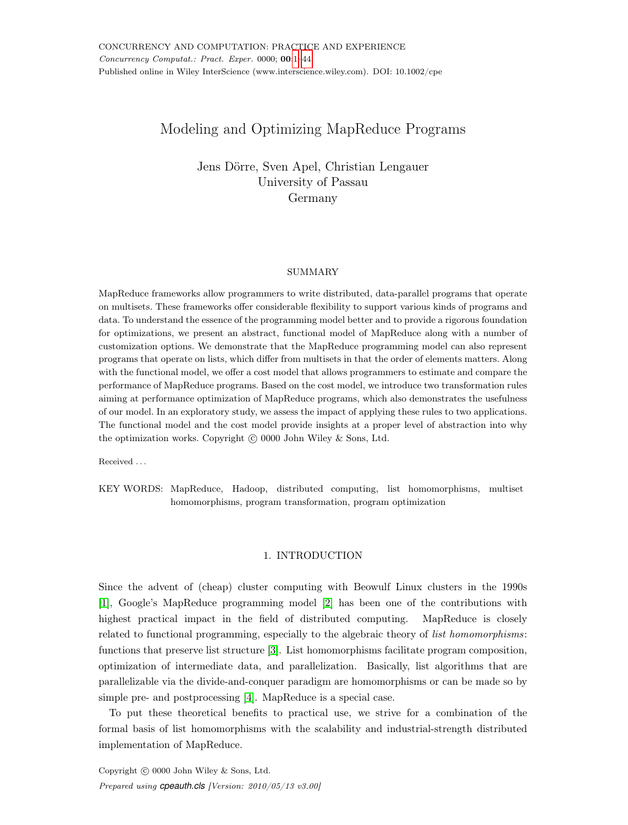# <span id="page-0-1"></span><span id="page-0-0"></span>Modeling and Optimizing MapReduce Programs

Jens Dörre, Sven Apel, Christian Lengauer University of Passau Germany

#### SUMMARY

MapReduce frameworks allow programmers to write distributed, data-parallel programs that operate on multisets. These frameworks offer considerable flexibility to support various kinds of programs and data. To understand the essence of the programming model better and to provide a rigorous foundation for optimizations, we present an abstract, functional model of MapReduce along with a number of customization options. We demonstrate that the MapReduce programming model can also represent programs that operate on lists, which differ from multisets in that the order of elements matters. Along with the functional model, we offer a cost model that allows programmers to estimate and compare the performance of MapReduce programs. Based on the cost model, we introduce two transformation rules aiming at performance optimization of MapReduce programs, which also demonstrates the usefulness of our model. In an exploratory study, we assess the impact of applying these rules to two applications. The functional model and the cost model provide insights at a proper level of abstraction into why the optimization works. Copyright  $\odot$  0000 John Wiley & Sons, Ltd.

Received . . .

KEY WORDS: MapReduce, Hadoop, distributed computing, list homomorphisms, multiset homomorphisms, program transformation, program optimization

#### 1. INTRODUCTION

Since the advent of (cheap) cluster computing with Beowulf Linux clusters in the 1990s [\[1\]](#page-35-0), Google's MapReduce programming model [\[2\]](#page-35-1) has been one of the contributions with highest practical impact in the field of distributed computing. MapReduce is closely related to functional programming, especially to the algebraic theory of *list homomorphisms*: functions that preserve list structure [\[3\]](#page-35-2). List homomorphisms facilitate program composition, optimization of intermediate data, and parallelization. Basically, list algorithms that are parallelizable via the divide-and-conquer paradigm are homomorphisms or can be made so by simple pre- and postprocessing [\[4\]](#page-35-3). MapReduce is a special case.

To put these theoretical benefits to practical use, we strive for a combination of the formal basis of list homomorphisms with the scalability and industrial-strength distributed implementation of MapReduce.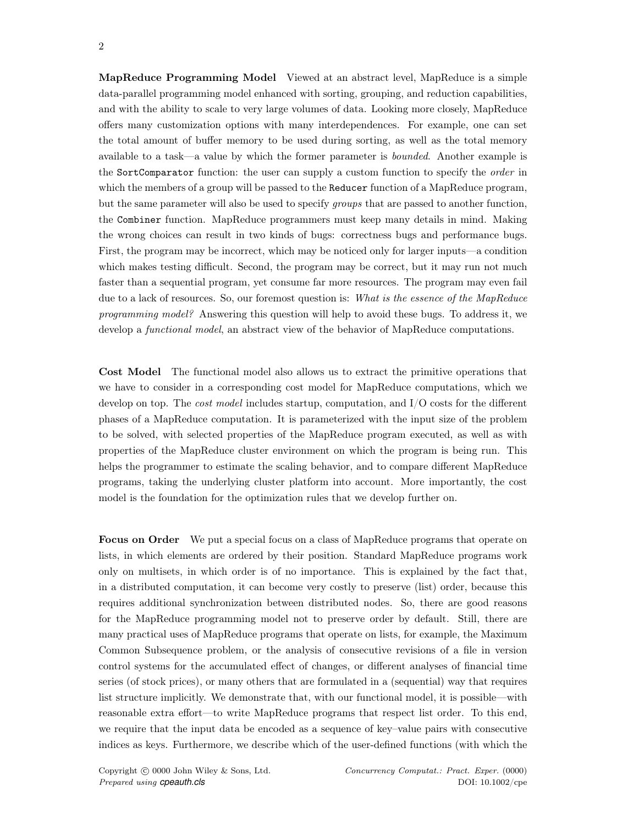MapReduce Programming Model Viewed at an abstract level, MapReduce is a simple data-parallel programming model enhanced with sorting, grouping, and reduction capabilities, and with the ability to scale to very large volumes of data. Looking more closely, MapReduce offers many customization options with many interdependences. For example, one can set the total amount of buffer memory to be used during sorting, as well as the total memory available to a task—a value by which the former parameter is bounded. Another example is the SortComparator function: the user can supply a custom function to specify the order in which the members of a group will be passed to the Reducer function of a MapReduce program, but the same parameter will also be used to specify *groups* that are passed to another function, the Combiner function. MapReduce programmers must keep many details in mind. Making the wrong choices can result in two kinds of bugs: correctness bugs and performance bugs. First, the program may be incorrect, which may be noticed only for larger inputs—a condition which makes testing difficult. Second, the program may be correct, but it may run not much faster than a sequential program, yet consume far more resources. The program may even fail due to a lack of resources. So, our foremost question is: What is the essence of the MapReduce programming model? Answering this question will help to avoid these bugs. To address it, we develop a *functional model*, an abstract view of the behavior of MapReduce computations.

Cost Model The functional model also allows us to extract the primitive operations that we have to consider in a corresponding cost model for MapReduce computations, which we develop on top. The *cost model* includes startup, computation, and  $I/O$  costs for the different phases of a MapReduce computation. It is parameterized with the input size of the problem to be solved, with selected properties of the MapReduce program executed, as well as with properties of the MapReduce cluster environment on which the program is being run. This helps the programmer to estimate the scaling behavior, and to compare different MapReduce programs, taking the underlying cluster platform into account. More importantly, the cost model is the foundation for the optimization rules that we develop further on.

Focus on Order We put a special focus on a class of MapReduce programs that operate on lists, in which elements are ordered by their position. Standard MapReduce programs work only on multisets, in which order is of no importance. This is explained by the fact that, in a distributed computation, it can become very costly to preserve (list) order, because this requires additional synchronization between distributed nodes. So, there are good reasons for the MapReduce programming model not to preserve order by default. Still, there are many practical uses of MapReduce programs that operate on lists, for example, the Maximum Common Subsequence problem, or the analysis of consecutive revisions of a file in version control systems for the accumulated effect of changes, or different analyses of financial time series (of stock prices), or many others that are formulated in a (sequential) way that requires list structure implicitly. We demonstrate that, with our functional model, it is possible—with reasonable extra effort—to write MapReduce programs that respect list order. To this end, we require that the input data be encoded as a sequence of key–value pairs with consecutive indices as keys. Furthermore, we describe which of the user-defined functions (with which the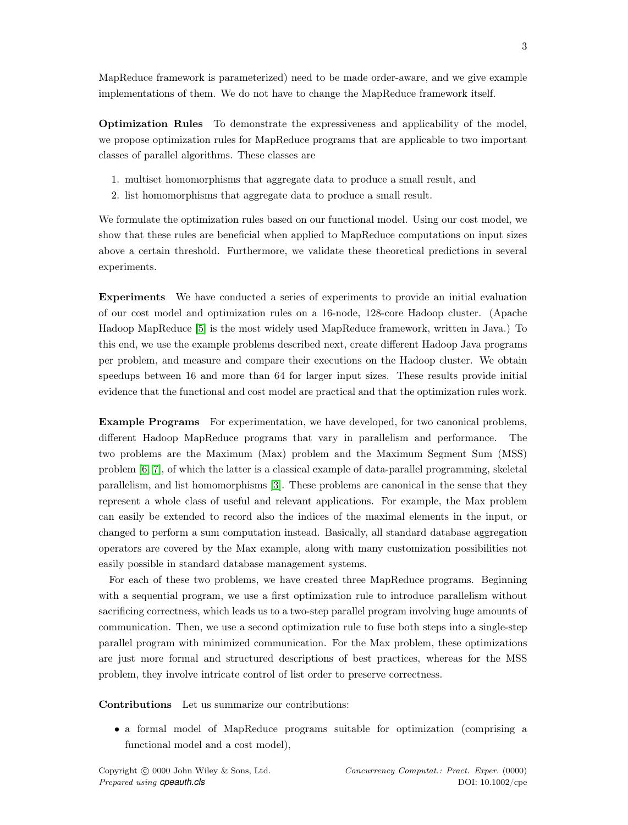<span id="page-2-0"></span>MapReduce framework is parameterized) need to be made order-aware, and we give example implementations of them. We do not have to change the MapReduce framework itself.

Optimization Rules To demonstrate the expressiveness and applicability of the model, we propose optimization rules for MapReduce programs that are applicable to two important classes of parallel algorithms. These classes are

- 1. multiset homomorphisms that aggregate data to produce a small result, and
- 2. list homomorphisms that aggregate data to produce a small result.

We formulate the optimization rules based on our functional model. Using our cost model, we show that these rules are beneficial when applied to MapReduce computations on input sizes above a certain threshold. Furthermore, we validate these theoretical predictions in several experiments.

Experiments We have conducted a series of experiments to provide an initial evaluation of our cost model and optimization rules on a 16-node, 128-core Hadoop cluster. (Apache Hadoop MapReduce [\[5\]](#page-35-4) is the most widely used MapReduce framework, written in Java.) To this end, we use the example problems described next, create different Hadoop Java programs per problem, and measure and compare their executions on the Hadoop cluster. We obtain speedups between 16 and more than 64 for larger input sizes. These results provide initial evidence that the functional and cost model are practical and that the optimization rules work.

Example Programs For experimentation, we have developed, for two canonical problems, different Hadoop MapReduce programs that vary in parallelism and performance. The two problems are the Maximum (Max) problem and the Maximum Segment Sum (MSS) problem [\[6,](#page-35-5) [7\]](#page-35-6), of which the latter is a classical example of data-parallel programming, skeletal parallelism, and list homomorphisms [\[3\]](#page-35-2). These problems are canonical in the sense that they represent a whole class of useful and relevant applications. For example, the Max problem can easily be extended to record also the indices of the maximal elements in the input, or changed to perform a sum computation instead. Basically, all standard database aggregation operators are covered by the Max example, along with many customization possibilities not easily possible in standard database management systems.

For each of these two problems, we have created three MapReduce programs. Beginning with a sequential program, we use a first optimization rule to introduce parallelism without sacrificing correctness, which leads us to a two-step parallel program involving huge amounts of communication. Then, we use a second optimization rule to fuse both steps into a single-step parallel program with minimized communication. For the Max problem, these optimizations are just more formal and structured descriptions of best practices, whereas for the MSS problem, they involve intricate control of list order to preserve correctness.

Contributions Let us summarize our contributions:

• a formal model of MapReduce programs suitable for optimization (comprising a functional model and a cost model),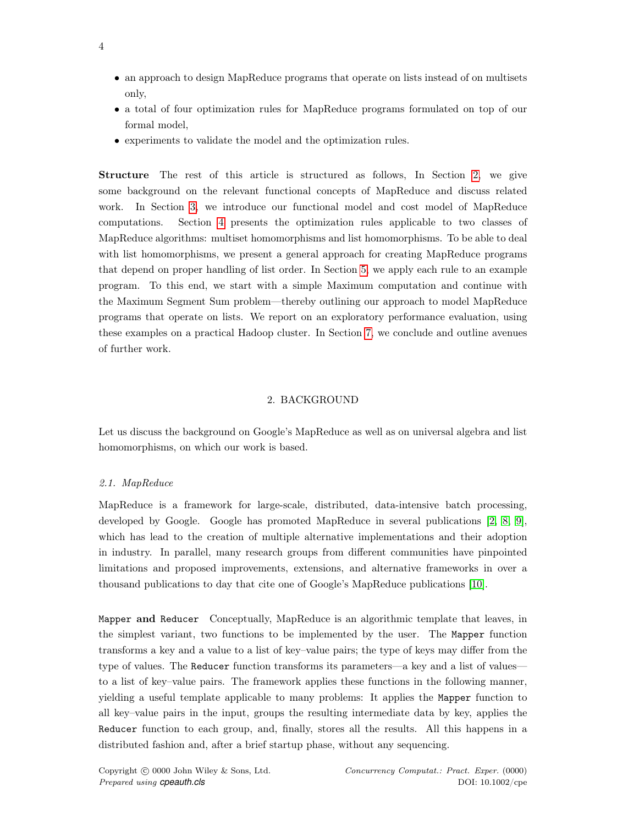- <span id="page-3-1"></span>• an approach to design MapReduce programs that operate on lists instead of on multisets only,
- a total of four optimization rules for MapReduce programs formulated on top of our formal model,
- experiments to validate the model and the optimization rules.

Structure The rest of this article is structured as follows, In Section [2,](#page-3-0) we give some background on the relevant functional concepts of MapReduce and discuss related work. In Section [3,](#page-8-0) we introduce our functional model and cost model of MapReduce computations. Section [4](#page-16-0) presents the optimization rules applicable to two classes of MapReduce algorithms: multiset homomorphisms and list homomorphisms. To be able to deal with list homomorphisms, we present a general approach for creating MapReduce programs that depend on proper handling of list order. In Section [5,](#page-27-0) we apply each rule to an example program. To this end, we start with a simple Maximum computation and continue with the Maximum Segment Sum problem—thereby outlining our approach to model MapReduce programs that operate on lists. We report on an exploratory performance evaluation, using these examples on a practical Hadoop cluster. In Section [7,](#page-34-0) we conclude and outline avenues of further work.

# 2. BACKGROUND

<span id="page-3-0"></span>Let us discuss the background on Google's MapReduce as well as on universal algebra and list homomorphisms, on which our work is based.

# <span id="page-3-2"></span>2.1. MapReduce

MapReduce is a framework for large-scale, distributed, data-intensive batch processing, developed by Google. Google has promoted MapReduce in several publications [\[2,](#page-35-1) [8,](#page-35-7) [9\]](#page-35-8), which has lead to the creation of multiple alternative implementations and their adoption in industry. In parallel, many research groups from different communities have pinpointed limitations and proposed improvements, extensions, and alternative frameworks in over a thousand publications to day that cite one of Google's MapReduce publications [\[10\]](#page-35-9).

Mapper and Reducer Conceptually, MapReduce is an algorithmic template that leaves, in the simplest variant, two functions to be implemented by the user. The Mapper function transforms a key and a value to a list of key–value pairs; the type of keys may differ from the type of values. The Reducer function transforms its parameters—a key and a list of values to a list of key–value pairs. The framework applies these functions in the following manner, yielding a useful template applicable to many problems: It applies the Mapper function to all key–value pairs in the input, groups the resulting intermediate data by key, applies the Reducer function to each group, and, finally, stores all the results. All this happens in a distributed fashion and, after a brief startup phase, without any sequencing.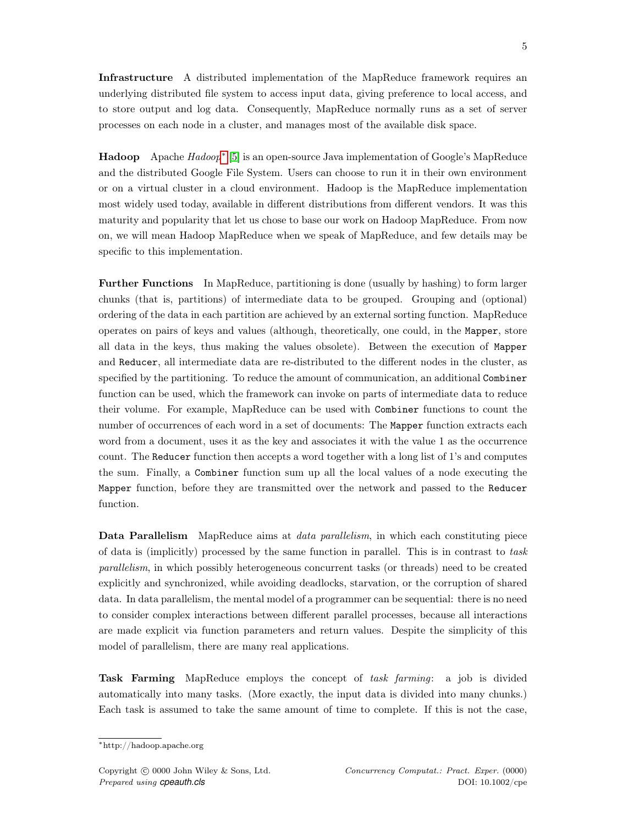<span id="page-4-1"></span>Infrastructure A distributed implementation of the MapReduce framework requires an underlying distributed file system to access input data, giving preference to local access, and to store output and log data. Consequently, MapReduce normally runs as a set of server processes on each node in a cluster, and manages most of the available disk space.

Hadoop Apache *Hadoop*<sup>\*</sup> [\[5\]](#page-35-4) is an open-source Java implementation of Google's MapReduce and the distributed Google File System. Users can choose to run it in their own environment or on a virtual cluster in a cloud environment. Hadoop is the MapReduce implementation most widely used today, available in different distributions from different vendors. It was this maturity and popularity that let us chose to base our work on Hadoop MapReduce. From now on, we will mean Hadoop MapReduce when we speak of MapReduce, and few details may be specific to this implementation.

Further Functions In MapReduce, partitioning is done (usually by hashing) to form larger chunks (that is, partitions) of intermediate data to be grouped. Grouping and (optional) ordering of the data in each partition are achieved by an external sorting function. MapReduce operates on pairs of keys and values (although, theoretically, one could, in the Mapper, store all data in the keys, thus making the values obsolete). Between the execution of Mapper and Reducer, all intermediate data are re-distributed to the different nodes in the cluster, as specified by the partitioning. To reduce the amount of communication, an additional Combiner function can be used, which the framework can invoke on parts of intermediate data to reduce their volume. For example, MapReduce can be used with Combiner functions to count the number of occurrences of each word in a set of documents: The Mapper function extracts each word from a document, uses it as the key and associates it with the value 1 as the occurrence count. The Reducer function then accepts a word together with a long list of 1's and computes the sum. Finally, a Combiner function sum up all the local values of a node executing the Mapper function, before they are transmitted over the network and passed to the Reducer function.

Data Parallelism MapReduce aims at *data parallelism*, in which each constituting piece of data is (implicitly) processed by the same function in parallel. This is in contrast to task parallelism, in which possibly heterogeneous concurrent tasks (or threads) need to be created explicitly and synchronized, while avoiding deadlocks, starvation, or the corruption of shared data. In data parallelism, the mental model of a programmer can be sequential: there is no need to consider complex interactions between different parallel processes, because all interactions are made explicit via function parameters and return values. Despite the simplicity of this model of parallelism, there are many real applications.

Task Farming MapReduce employs the concept of task farming: a job is divided automatically into many tasks. (More exactly, the input data is divided into many chunks.) Each task is assumed to take the same amount of time to complete. If this is not the case,

<span id="page-4-0"></span><sup>∗</sup>http://hadoop.apache.org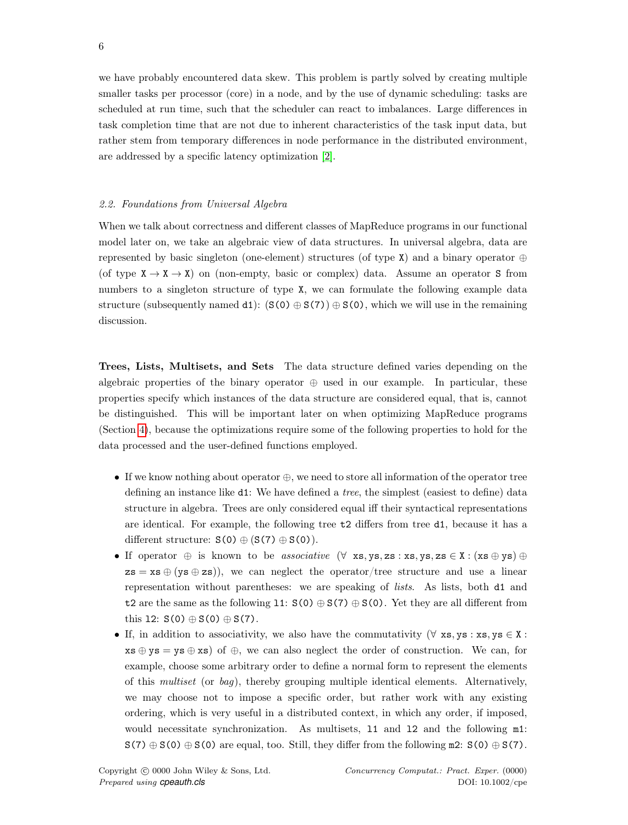<span id="page-5-0"></span>we have probably encountered data skew. This problem is partly solved by creating multiple smaller tasks per processor (core) in a node, and by the use of dynamic scheduling: tasks are scheduled at run time, such that the scheduler can react to imbalances. Large differences in task completion time that are not due to inherent characteristics of the task input data, but rather stem from temporary differences in node performance in the distributed environment, are addressed by a specific latency optimization [\[2\]](#page-35-1).

#### 2.2. Foundations from Universal Algebra

When we talk about correctness and different classes of MapReduce programs in our functional model later on, we take an algebraic view of data structures. In universal algebra, data are represented by basic singleton (one-element) structures (of type  $X$ ) and a binary operator  $\oplus$ (of type  $X \to X \to X$ ) on (non-empty, basic or complex) data. Assume an operator S from numbers to a singleton structure of type X, we can formulate the following example data structure (subsequently named d1):  $(S(0) \oplus S(7)) \oplus S(0)$ , which we will use in the remaining discussion.

Trees, Lists, Multisets, and Sets The data structure defined varies depending on the algebraic properties of the binary operator  $\oplus$  used in our example. In particular, these properties specify which instances of the data structure are considered equal, that is, cannot be distinguished. This will be important later on when optimizing MapReduce programs (Section [4\)](#page-16-0), because the optimizations require some of the following properties to hold for the data processed and the user-defined functions employed.

- If we know nothing about operator  $\oplus$ , we need to store all information of the operator tree defining an instance like d1: We have defined a tree, the simplest (easiest to define) data structure in algebra. Trees are only considered equal iff their syntactical representations are identical. For example, the following tree t2 differs from tree d1, because it has a different structure:  $S(0) \oplus (S(7) \oplus S(0))$ .
- If operator  $\oplus$  is known to be *associative*  $(\forall xs, ys, zs : xs, ys, zs \in X : (xs \oplus ys) \oplus$  $z\mathbf{s} = \mathbf{x}\mathbf{s} \oplus (\mathbf{y}\mathbf{s} \oplus \mathbf{z}\mathbf{s}))$ , we can neglect the operator/tree structure and use a linear representation without parentheses: we are speaking of lists. As lists, both d1 and t2 are the same as the following 11:  $S(0) \oplus S(7) \oplus S(0)$ . Yet they are all different from this 12:  $S(0) \oplus S(0) \oplus S(7)$ .
- If, in addition to associativity, we also have the commutativity ( $\forall$  xs, ys : xs, ys  $\in$  X :  $xs \oplus ys = ys \oplus xs)$  of  $\oplus$ , we can also neglect the order of construction. We can, for example, choose some arbitrary order to define a normal form to represent the elements of this multiset (or bag), thereby grouping multiple identical elements. Alternatively, we may choose not to impose a specific order, but rather work with any existing ordering, which is very useful in a distributed context, in which any order, if imposed, would necessitate synchronization. As multisets, l1 and l2 and the following m1:  $S(7) \oplus S(0) \oplus S(0)$  are equal, too. Still, they differ from the following m2:  $S(0) \oplus S(7)$ .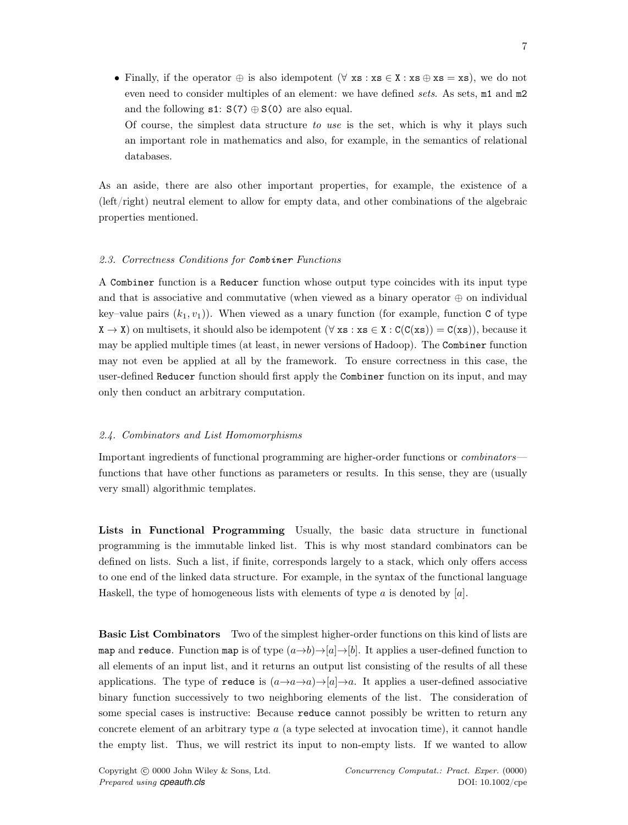• Finally, if the operator  $\oplus$  is also idempotent  $(\forall \mathbf{x} s : \mathbf{x} s \in \mathbf{X} : \mathbf{x} s \oplus \mathbf{x} s = \mathbf{x} s)$ , we do not even need to consider multiples of an element: we have defined sets. As sets,  $m1$  and  $m2$ and the following  $s1: S(7) \oplus S(0)$  are also equal.

Of course, the simplest data structure to use is the set, which is why it plays such an important role in mathematics and also, for example, in the semantics of relational databases.

As an aside, there are also other important properties, for example, the existence of a (left/right) neutral element to allow for empty data, and other combinations of the algebraic properties mentioned.

### 2.3. Correctness Conditions for Combiner Functions

A Combiner function is a Reducer function whose output type coincides with its input type and that is associative and commutative (when viewed as a binary operator  $\oplus$  on individual key–value pairs  $(k_1, v_1)$ ). When viewed as a unary function (for example, function C of type  $X \to X$ ) on multisets, it should also be idempotent  $(\forall x s : x s \in X : C(C(xs)) = C(xs))$ , because it may be applied multiple times (at least, in newer versions of Hadoop). The Combiner function may not even be applied at all by the framework. To ensure correctness in this case, the user-defined Reducer function should first apply the Combiner function on its input, and may only then conduct an arbitrary computation.

### <span id="page-6-0"></span>2.4. Combinators and List Homomorphisms

Important ingredients of functional programming are higher-order functions or combinators functions that have other functions as parameters or results. In this sense, they are (usually very small) algorithmic templates.

Lists in Functional Programming Usually, the basic data structure in functional programming is the immutable linked list. This is why most standard combinators can be defined on lists. Such a list, if finite, corresponds largely to a stack, which only offers access to one end of the linked data structure. For example, in the syntax of the functional language Haskell, the type of homogeneous lists with elements of type  $a$  is denoted by  $[a]$ .

Basic List Combinators Two of the simplest higher-order functions on this kind of lists are map and reduce. Function map is of type  $(a\rightarrow b)\rightarrow[a]\rightarrow[b]$ . It applies a user-defined function to all elements of an input list, and it returns an output list consisting of the results of all these applications. The type of reduce is  $(a\rightarrow a\rightarrow a)\rightarrow[a]\rightarrow a$ . It applies a user-defined associative binary function successively to two neighboring elements of the list. The consideration of some special cases is instructive: Because reduce cannot possibly be written to return any concrete element of an arbitrary type  $a$  (a type selected at invocation time), it cannot handle the empty list. Thus, we will restrict its input to non-empty lists. If we wanted to allow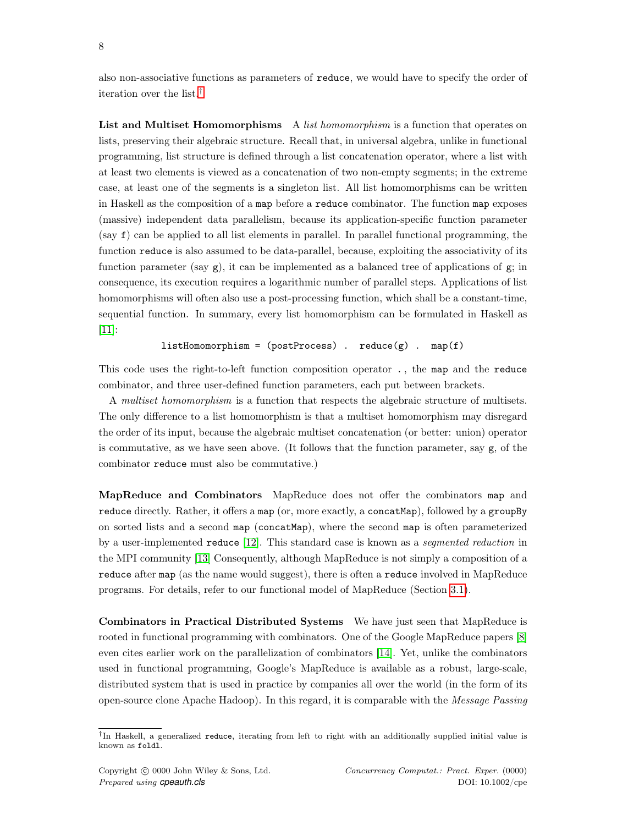<span id="page-7-1"></span>also non-associative functions as parameters of reduce, we would have to specify the order of iteration over the list.[†](#page-7-0)

List and Multiset Homomorphisms A list homomorphism is a function that operates on lists, preserving their algebraic structure. Recall that, in universal algebra, unlike in functional programming, list structure is defined through a list concatenation operator, where a list with at least two elements is viewed as a concatenation of two non-empty segments; in the extreme case, at least one of the segments is a singleton list. All list homomorphisms can be written in Haskell as the composition of a map before a reduce combinator. The function map exposes (massive) independent data parallelism, because its application-specific function parameter (say f) can be applied to all list elements in parallel. In parallel functional programming, the function reduce is also assumed to be data-parallel, because, exploiting the associativity of its function parameter (say  $g$ ), it can be implemented as a balanced tree of applications of  $g$ ; in consequence, its execution requires a logarithmic number of parallel steps. Applications of list homomorphisms will often also use a post-processing function, which shall be a constant-time, sequential function. In summary, every list homomorphism can be formulated in Haskell as [\[11\]](#page-35-10):

 $listHomomorphism = (postProcess)$ .  $reduce(g)$ .  $map(f)$ 

This code uses the right-to-left function composition operator . , the map and the reduce combinator, and three user-defined function parameters, each put between brackets.

A multiset homomorphism is a function that respects the algebraic structure of multisets. The only difference to a list homomorphism is that a multiset homomorphism may disregard the order of its input, because the algebraic multiset concatenation (or better: union) operator is commutative, as we have seen above. (It follows that the function parameter, say  $g$ , of the combinator reduce must also be commutative.)

MapReduce and Combinators MapReduce does not offer the combinators map and reduce directly. Rather, it offers a map (or, more exactly, a concatMap), followed by a groupBy on sorted lists and a second map (concatMap), where the second map is often parameterized by a user-implemented reduce [\[12\]](#page-35-11). This standard case is known as a segmented reduction in the MPI community [\[13\]](#page-36-0) Consequently, although MapReduce is not simply a composition of a reduce after map (as the name would suggest), there is often a reduce involved in MapReduce programs. For details, refer to our functional model of MapReduce (Section [3.1\)](#page-8-1).

Combinators in Practical Distributed Systems We have just seen that MapReduce is rooted in functional programming with combinators. One of the Google MapReduce papers [\[8\]](#page-35-7) even cites earlier work on the parallelization of combinators [\[14\]](#page-36-1). Yet, unlike the combinators used in functional programming, Google's MapReduce is available as a robust, large-scale, distributed system that is used in practice by companies all over the world (in the form of its open-source clone Apache Hadoop). In this regard, it is comparable with the Message Passing

<span id="page-7-0"></span><sup>†</sup> In Haskell, a generalized reduce, iterating from left to right with an additionally supplied initial value is known as foldl.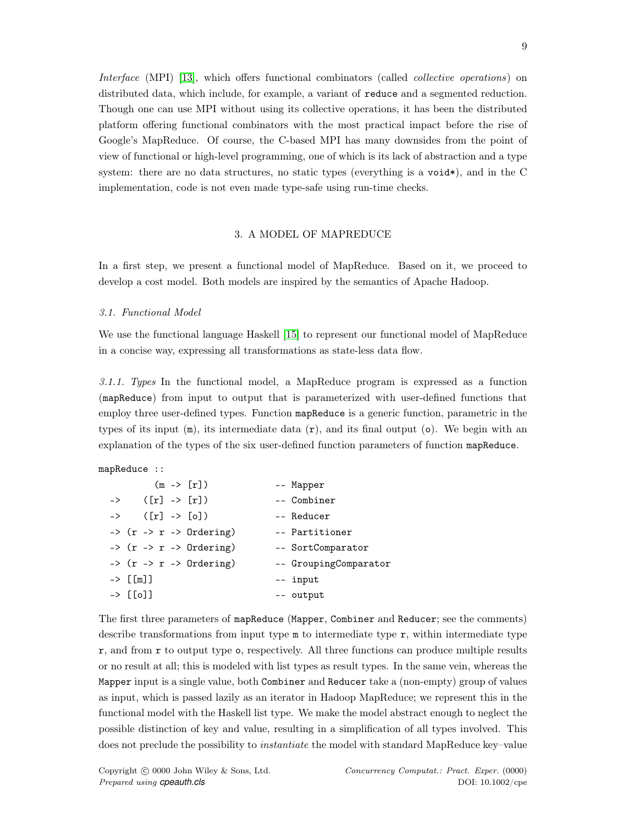<span id="page-8-2"></span>Interface (MPI) [\[13\]](#page-36-0), which offers functional combinators (called *collective operations*) on distributed data, which include, for example, a variant of reduce and a segmented reduction. Though one can use MPI without using its collective operations, it has been the distributed platform offering functional combinators with the most practical impact before the rise of Google's MapReduce. Of course, the C-based MPI has many downsides from the point of view of functional or high-level programming, one of which is its lack of abstraction and a type system: there are no data structures, no static types (everything is a void\*), and in the C implementation, code is not even made type-safe using run-time checks.

## 3. A MODEL OF MAPREDUCE

<span id="page-8-0"></span>In a first step, we present a functional model of MapReduce. Based on it, we proceed to develop a cost model. Both models are inspired by the semantics of Apache Hadoop.

### <span id="page-8-1"></span>3.1. Functional Model

We use the functional language Haskell [\[15\]](#page-36-2) to represent our functional model of MapReduce in a concise way, expressing all transformations as state-less data flow.

3.1.1. Types In the functional model, a MapReduce program is expressed as a function (mapReduce) from input to output that is parameterized with user-defined functions that employ three user-defined types. Function mapReduce is a generic function, parametric in the types of its input  $(m)$ , its intermediate data  $(r)$ , and its final output (o). We begin with an explanation of the types of the six user-defined function parameters of function mapReduce.

#### mapReduce ::

| $\rightarrow$ ([r] $\rightarrow$ [r])<br>-- Combiner<br>$\rightarrow$ ([r] $\rightarrow$ [o])<br>-- Reducer<br>$\rightarrow$ (r $\rightarrow$ r $\rightarrow$ Ordering)<br>-- Partitioner<br>$\rightarrow$ (r $\rightarrow$ r $\rightarrow$ Ordering)<br>-- SortComparator<br>$\rightarrow$ (r $\rightarrow$ r $\rightarrow$ Ordering)<br>-- GroupingComparator<br>$\rightarrow$ [[m]]<br>-- input<br>$\rightarrow$ [[o]]<br>-- output | $(m \rightarrow [r])$ | -- Mapper |
|----------------------------------------------------------------------------------------------------------------------------------------------------------------------------------------------------------------------------------------------------------------------------------------------------------------------------------------------------------------------------------------------------------------------------------------|-----------------------|-----------|
|                                                                                                                                                                                                                                                                                                                                                                                                                                        |                       |           |
|                                                                                                                                                                                                                                                                                                                                                                                                                                        |                       |           |
|                                                                                                                                                                                                                                                                                                                                                                                                                                        |                       |           |
|                                                                                                                                                                                                                                                                                                                                                                                                                                        |                       |           |
|                                                                                                                                                                                                                                                                                                                                                                                                                                        |                       |           |
|                                                                                                                                                                                                                                                                                                                                                                                                                                        |                       |           |
|                                                                                                                                                                                                                                                                                                                                                                                                                                        |                       |           |

The first three parameters of mapReduce (Mapper, Combiner and Reducer; see the comments) describe transformations from input type  $m$  to intermediate type  $r$ , within intermediate type r, and from r to output type o, respectively. All three functions can produce multiple results or no result at all; this is modeled with list types as result types. In the same vein, whereas the Mapper input is a single value, both Combiner and Reducer take a (non-empty) group of values as input, which is passed lazily as an iterator in Hadoop MapReduce; we represent this in the functional model with the Haskell list type. We make the model abstract enough to neglect the possible distinction of key and value, resulting in a simplification of all types involved. This does not preclude the possibility to instantiate the model with standard MapReduce key–value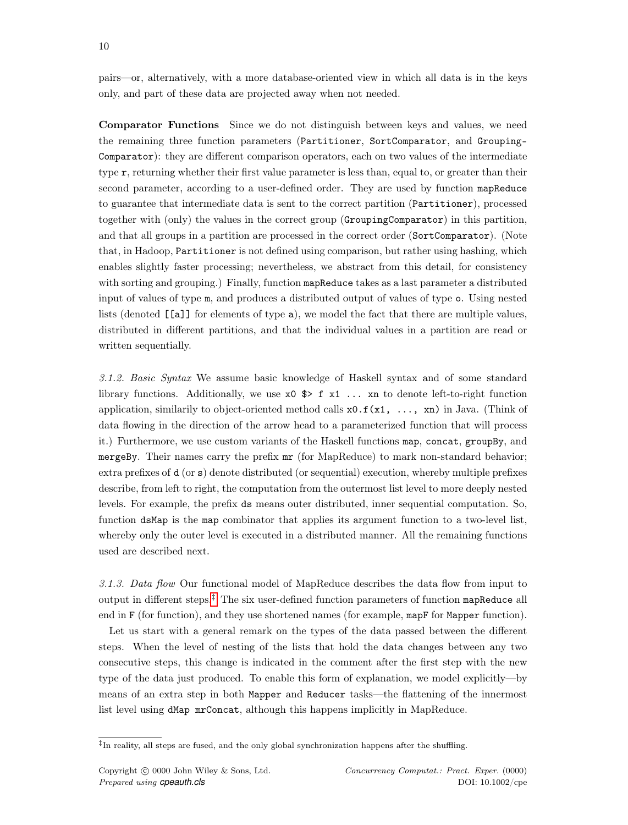pairs—or, alternatively, with a more database-oriented view in which all data is in the keys only, and part of these data are projected away when not needed.

Comparator Functions Since we do not distinguish between keys and values, we need the remaining three function parameters (Partitioner, SortComparator, and Grouping-Comparator): they are different comparison operators, each on two values of the intermediate type r, returning whether their first value parameter is less than, equal to, or greater than their second parameter, according to a user-defined order. They are used by function mapReduce to guarantee that intermediate data is sent to the correct partition (Partitioner), processed together with (only) the values in the correct group (GroupingComparator) in this partition, and that all groups in a partition are processed in the correct order (SortComparator). (Note that, in Hadoop, Partitioner is not defined using comparison, but rather using hashing, which enables slightly faster processing; nevertheless, we abstract from this detail, for consistency with sorting and grouping.) Finally, function mapReduce takes as a last parameter a distributed input of values of type m, and produces a distributed output of values of type o. Using nested lists (denoted [[a]] for elements of type a), we model the fact that there are multiple values, distributed in different partitions, and that the individual values in a partition are read or written sequentially.

3.1.2. Basic Syntax We assume basic knowledge of Haskell syntax and of some standard library functions. Additionally, we use  $x0 \, \text{S}$  f  $x1 \ldots xn$  to denote left-to-right function application, similarly to object-oriented method calls  $x0.f(x1, \ldots, xn)$  in Java. (Think of data flowing in the direction of the arrow head to a parameterized function that will process it.) Furthermore, we use custom variants of the Haskell functions map, concat, groupBy, and mergeBy. Their names carry the prefix mr (for MapReduce) to mark non-standard behavior; extra prefixes of d (or s) denote distributed (or sequential) execution, whereby multiple prefixes describe, from left to right, the computation from the outermost list level to more deeply nested levels. For example, the prefix ds means outer distributed, inner sequential computation. So, function dsMap is the map combinator that applies its argument function to a two-level list, whereby only the outer level is executed in a distributed manner. All the remaining functions used are described next.

3.1.3. Data flow Our functional model of MapReduce describes the data flow from input to output in different steps.<sup> $‡$ </sup> The six user-defined function parameters of function mapReduce all end in F (for function), and they use shortened names (for example, mapF for Mapper function).

Let us start with a general remark on the types of the data passed between the different steps. When the level of nesting of the lists that hold the data changes between any two consecutive steps, this change is indicated in the comment after the first step with the new type of the data just produced. To enable this form of explanation, we model explicitly—by means of an extra step in both Mapper and Reducer tasks—the flattening of the innermost list level using dMap mrConcat, although this happens implicitly in MapReduce.

<span id="page-9-0"></span><sup>‡</sup> In reality, all steps are fused, and the only global synchronization happens after the shuffling.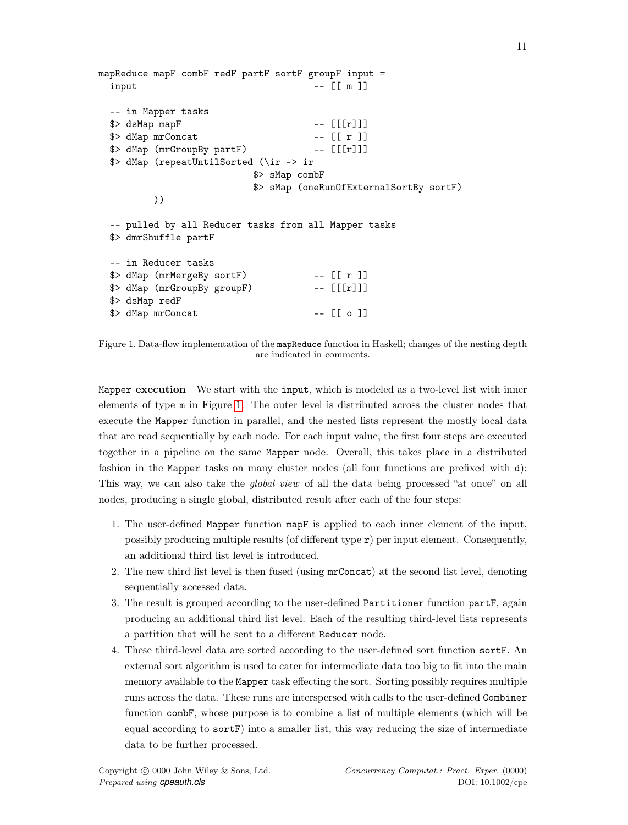```
mapReduce mapF combF redF partF sortF groupF input =
  \frac{1}{2} input \frac{1}{2} \frac{1}{2} \frac{1}{2} \frac{1}{2} \frac{1}{2} \frac{1}{2} \frac{1}{2} \frac{1}{2} \frac{1}{2} \frac{1}{2} \frac{1}{2} \frac{1}{2} \frac{1}{2} \frac{1}{2} \frac{1}{2} \frac{1}{2} \frac{1}{2} \frac{1}{2} \frac{1}{2} \frac{1}{2} \frac{1-- in Mapper tasks
  \Rightarrow dsMap mapF - [[[r]]]
  \Rightarrow dMap mrConcat -- [[ r ]]
  \Rightarrow dMap (mrGroupBy partF) -- [[[r]]]
  $> dMap (repeatUntilSorted (\ir -> ir
                                    $> sMap combF
                                    $> sMap (oneRunOfExternalSortBy sortF)
            ))
  -- pulled by all Reducer tasks from all Mapper tasks
  $> dmrShuffle partF
  -- in Reducer tasks
  $> dMap (mrMergeBy sortF) -- [[ r ]]
  $> dMap (mrGroupBy groupF) -- [[[r]]]
  $> dsMap redF
  \Rightarrow dMap mrConcat \qquad \qquad -- [[o]]
```
Figure 1. Data-flow implementation of the mapReduce function in Haskell; changes of the nesting depth are indicated in comments.

Mapper execution We start with the input, which is modeled as a two-level list with inner elements of type m in Figure [1.](#page-10-0) The outer level is distributed across the cluster nodes that execute the Mapper function in parallel, and the nested lists represent the mostly local data that are read sequentially by each node. For each input value, the first four steps are executed together in a pipeline on the same Mapper node. Overall, this takes place in a distributed fashion in the Mapper tasks on many cluster nodes (all four functions are prefixed with d): This way, we can also take the global view of all the data being processed "at once" on all nodes, producing a single global, distributed result after each of the four steps:

- 1. The user-defined Mapper function mapF is applied to each inner element of the input, possibly producing multiple results (of different type r) per input element. Consequently, an additional third list level is introduced.
- 2. The new third list level is then fused (using mrConcat) at the second list level, denoting sequentially accessed data.
- 3. The result is grouped according to the user-defined Partitioner function partF, again producing an additional third list level. Each of the resulting third-level lists represents a partition that will be sent to a different Reducer node.
- 4. These third-level data are sorted according to the user-defined sort function sortF. An external sort algorithm is used to cater for intermediate data too big to fit into the main memory available to the Mapper task effecting the sort. Sorting possibly requires multiple runs across the data. These runs are interspersed with calls to the user-defined Combiner function combF, whose purpose is to combine a list of multiple elements (which will be equal according to sortF) into a smaller list, this way reducing the size of intermediate data to be further processed.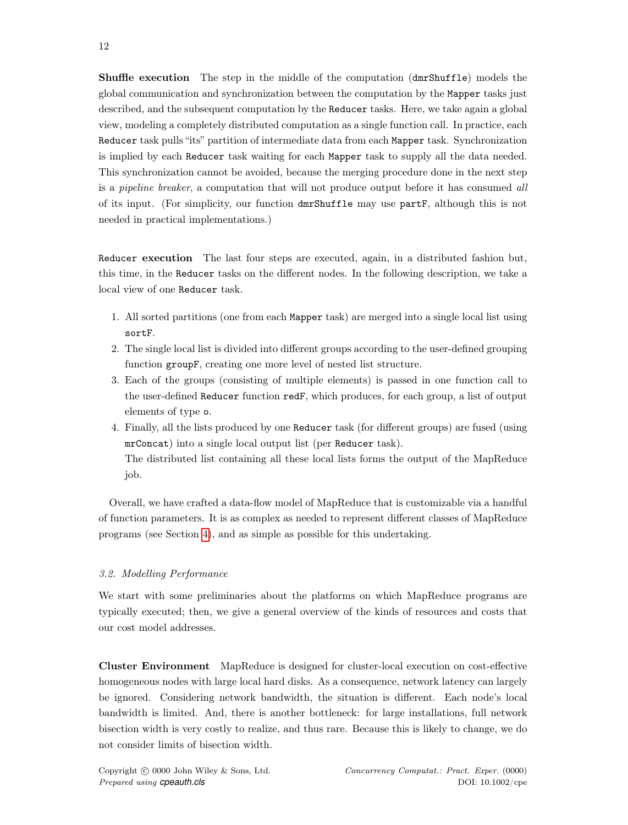Shuffle execution The step in the middle of the computation (dmrShuffle) models the global communication and synchronization between the computation by the Mapper tasks just described, and the subsequent computation by the Reducer tasks. Here, we take again a global view, modeling a completely distributed computation as a single function call. In practice, each Reducer task pulls "its" partition of intermediate data from each Mapper task. Synchronization is implied by each Reducer task waiting for each Mapper task to supply all the data needed. This synchronization cannot be avoided, because the merging procedure done in the next step is a pipeline breaker, a computation that will not produce output before it has consumed all of its input. (For simplicity, our function dmrShuffle may use partF, although this is not needed in practical implementations.)

Reducer execution The last four steps are executed, again, in a distributed fashion but, this time, in the Reducer tasks on the different nodes. In the following description, we take a local view of one Reducer task.

- 1. All sorted partitions (one from each Mapper task) are merged into a single local list using sortF.
- 2. The single local list is divided into different groups according to the user-defined grouping function groupF, creating one more level of nested list structure.
- 3. Each of the groups (consisting of multiple elements) is passed in one function call to the user-defined Reducer function redF, which produces, for each group, a list of output elements of type o.
- 4. Finally, all the lists produced by one Reducer task (for different groups) are fused (using mrConcat) into a single local output list (per Reducer task). The distributed list containing all these local lists forms the output of the MapReduce job.

Overall, we have crafted a data-flow model of MapReduce that is customizable via a handful of function parameters. It is as complex as needed to represent different classes of MapReduce programs (see Section [4\)](#page-16-0), and as simple as possible for this undertaking.

### <span id="page-11-0"></span>3.2. Modelling Performance

We start with some preliminaries about the platforms on which MapReduce programs are typically executed; then, we give a general overview of the kinds of resources and costs that our cost model addresses.

Cluster Environment MapReduce is designed for cluster-local execution on cost-effective homogeneous nodes with large local hard disks. As a consequence, network latency can largely be ignored. Considering network bandwidth, the situation is different. Each node's local bandwidth is limited. And, there is another bottleneck: for large installations, full network bisection width is very costly to realize, and thus rare. Because this is likely to change, we do not consider limits of bisection width.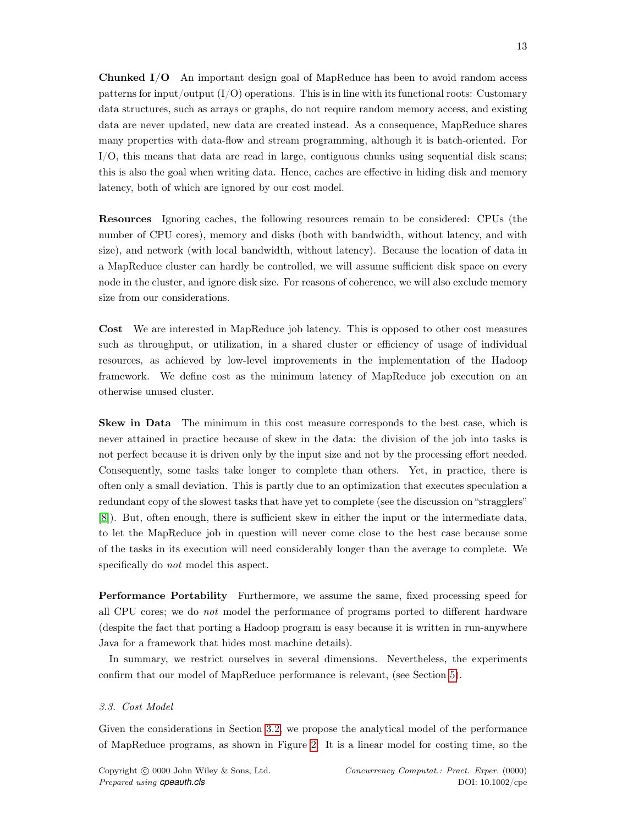<span id="page-12-0"></span>Chunked I/O An important design goal of MapReduce has been to avoid random access patterns for input/output  $(I/O)$  operations. This is in line with its functional roots: Customary data structures, such as arrays or graphs, do not require random memory access, and existing data are never updated, new data are created instead. As a consequence, MapReduce shares many properties with data-flow and stream programming, although it is batch-oriented. For I/O, this means that data are read in large, contiguous chunks using sequential disk scans; this is also the goal when writing data. Hence, caches are effective in hiding disk and memory latency, both of which are ignored by our cost model.

Resources Ignoring caches, the following resources remain to be considered: CPUs (the number of CPU cores), memory and disks (both with bandwidth, without latency, and with size), and network (with local bandwidth, without latency). Because the location of data in a MapReduce cluster can hardly be controlled, we will assume sufficient disk space on every node in the cluster, and ignore disk size. For reasons of coherence, we will also exclude memory size from our considerations.

Cost We are interested in MapReduce job latency. This is opposed to other cost measures such as throughput, or utilization, in a shared cluster or efficiency of usage of individual resources, as achieved by low-level improvements in the implementation of the Hadoop framework. We define cost as the minimum latency of MapReduce job execution on an otherwise unused cluster.

Skew in Data The minimum in this cost measure corresponds to the best case, which is never attained in practice because of skew in the data: the division of the job into tasks is not perfect because it is driven only by the input size and not by the processing effort needed. Consequently, some tasks take longer to complete than others. Yet, in practice, there is often only a small deviation. This is partly due to an optimization that executes speculation a redundant copy of the slowest tasks that have yet to complete (see the discussion on "stragglers" [\[8\]](#page-35-7)). But, often enough, there is sufficient skew in either the input or the intermediate data, to let the MapReduce job in question will never come close to the best case because some of the tasks in its execution will need considerably longer than the average to complete. We specifically do not model this aspect.

Performance Portability Furthermore, we assume the same, fixed processing speed for all CPU cores; we do not model the performance of programs ported to different hardware (despite the fact that porting a Hadoop program is easy because it is written in run-anywhere Java for a framework that hides most machine details).

In summary, we restrict ourselves in several dimensions. Nevertheless, the experiments confirm that our model of MapReduce performance is relevant, (see Section [5\)](#page-27-0).

## 3.3. Cost Model

Given the considerations in Section [3.2,](#page-11-0) we propose the analytical model of the performance of MapReduce programs, as shown in Figure [2.](#page-13-0) It is a linear model for costing time, so the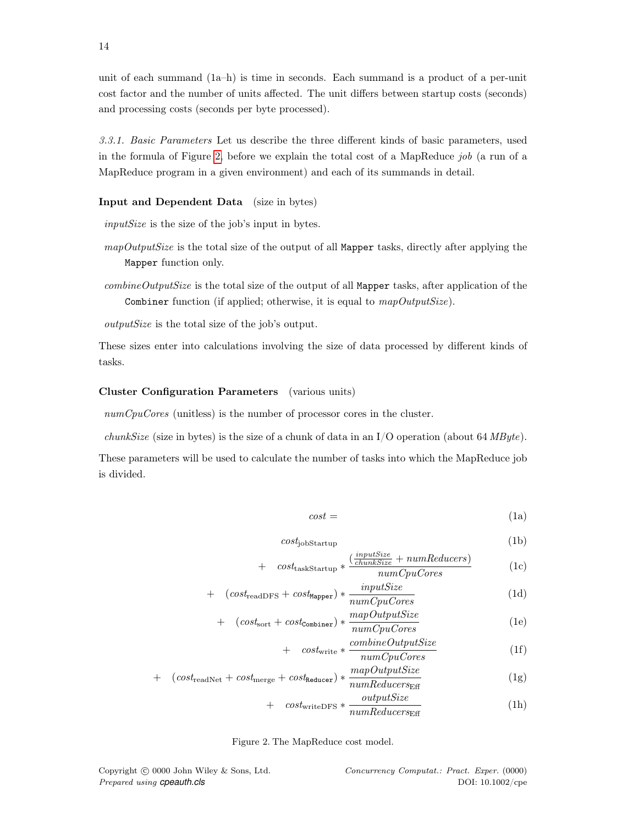unit of each summand (1a–h) is time in seconds. Each summand is a product of a per-unit cost factor and the number of units affected. The unit differs between startup costs (seconds) and processing costs (seconds per byte processed).

<span id="page-13-9"></span>3.3.1. Basic Parameters Let us describe the three different kinds of basic parameters, used in the formula of Figure [2,](#page-13-0) before we explain the total cost of a MapReduce job (a run of a MapReduce program in a given environment) and each of its summands in detail.

Input and Dependent Data (size in bytes)

inputSize is the size of the job's input in bytes.

- mapOutputSize is the total size of the output of all Mapper tasks, directly after applying the Mapper function only.
- combineOutputSize is the total size of the output of all Mapper tasks, after application of the Combiner function (if applied; otherwise, it is equal to  $mapOutputSize$ ).

outputSize is the total size of the job's output.

These sizes enter into calculations involving the size of data processed by different kinds of tasks.

### Cluster Configuration Parameters (various units)

numCpuCores (unitless) is the number of processor cores in the cluster.

*chunkSize* (size in bytes) is the size of a chunk of data in an  $I/O$  operation (about 64 *MByte*).

<span id="page-13-0"></span>These parameters will be used to calculate the number of tasks into which the MapReduce job is divided.

<span id="page-13-4"></span><span id="page-13-3"></span><span id="page-13-2"></span><span id="page-13-1"></span>
$$
cost = (1a)
$$

$$
cost_{\text{jobStarting}} \tag{1b}
$$

+ 
$$
\cos t_{\text{taskStartup}} * \frac{\left(\frac{inputSize}{chunkSize} + numReducers\right)}{numCpuCores}
$$
 (1c)

+ 
$$
(\cos t_{\text{readDFS}} + \cos t_{\text{Mapper}}) * \frac{inputSize}{numCpuCores}
$$
 (1d)

+ 
$$
(\cos t_{\text{sort}} + \cos t_{\text{combine}}) * \frac{mapOutputSize}{numCpuCores}
$$
 (1e)

<span id="page-13-8"></span><span id="page-13-7"></span><span id="page-13-6"></span><span id="page-13-5"></span>
$$
cost_{\text{write}} * \frac{combineOutputSize}{numCpuCores} \tag{1f}
$$

+ 
$$
(cost_{\text{readNet}} + cost_{\text{merge}} + cost_{\text{Reduceer}}) * \frac{mapOutputSize}{numReducers_{\text{Eff}}}
$$
 (1g)

+ 
$$
cost_{\text{writeDFS}} * \frac{outputSize}{numReducers_{\text{Eff}}}
$$
 (1h)

#### Figure 2. The MapReduce cost model.

 $+$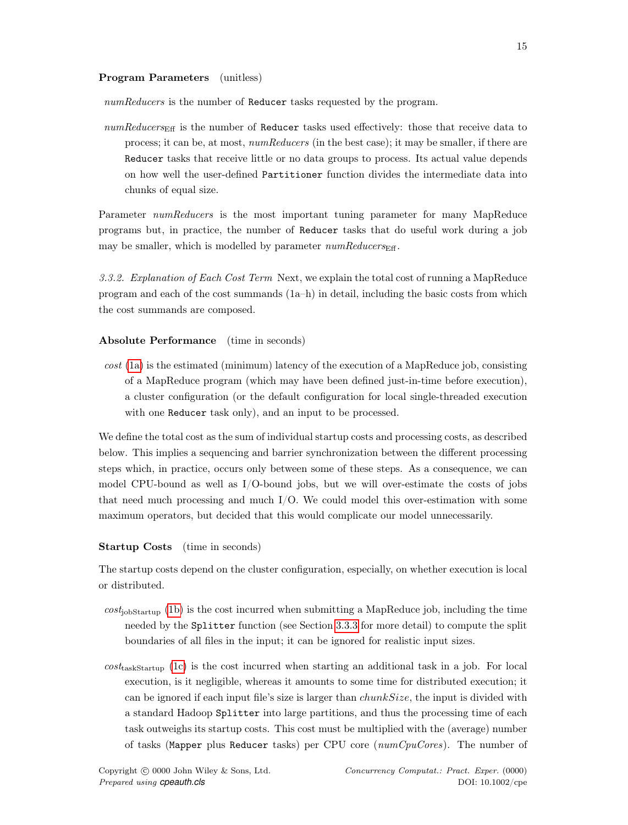### Program Parameters (unitless)

numReducers is the number of Reducer tasks requested by the program.

 $numReducers_{\text{Eff}}$  is the number of Reducer tasks used effectively: those that receive data to process; it can be, at most, numReducers (in the best case); it may be smaller, if there are Reducer tasks that receive little or no data groups to process. Its actual value depends on how well the user-defined Partitioner function divides the intermediate data into chunks of equal size.

Parameter numReducers is the most important tuning parameter for many MapReduce programs but, in practice, the number of Reducer tasks that do useful work during a job may be smaller, which is modelled by parameter  $numReducers_{\text{Eff}}$ .

3.3.2. Explanation of Each Cost Term Next, we explain the total cost of running a MapReduce program and each of the cost summands  $(1a-h)$  in detail, including the basic costs from which the cost summands are composed.

#### Absolute Performance (time in seconds)

 $cost(1a)$  $cost(1a)$  is the estimated (minimum) latency of the execution of a MapReduce job, consisting of a MapReduce program (which may have been defined just-in-time before execution), a cluster configuration (or the default configuration for local single-threaded execution with one Reducer task only), and an input to be processed.

We define the total cost as the sum of individual startup costs and processing costs, as described below. This implies a sequencing and barrier synchronization between the different processing steps which, in practice, occurs only between some of these steps. As a consequence, we can model CPU-bound as well as I/O-bound jobs, but we will over-estimate the costs of jobs that need much processing and much  $I/O$ . We could model this over-estimation with some maximum operators, but decided that this would complicate our model unnecessarily.

#### Startup Costs (time in seconds)

The startup costs depend on the cluster configuration, especially, on whether execution is local or distributed.

- $cost_{\text{jobStartup}}$  [\(1b\)](#page-13-2) is the cost incurred when submitting a MapReduce job, including the time needed by the Splitter function (see Section [3.3.3](#page-16-1) for more detail) to compute the split boundaries of all files in the input; it can be ignored for realistic input sizes.
- $cost_{taskStartup}$  [\(1c\)](#page-13-3) is the cost incurred when starting an additional task in a job. For local execution, is it negligible, whereas it amounts to some time for distributed execution; it can be ignored if each input file's size is larger than  $chunkSize$ , the input is divided with a standard Hadoop Splitter into large partitions, and thus the processing time of each task outweighs its startup costs. This cost must be multiplied with the (average) number of tasks (Mapper plus Reducer tasks) per CPU core ( $numCpuCores$ ). The number of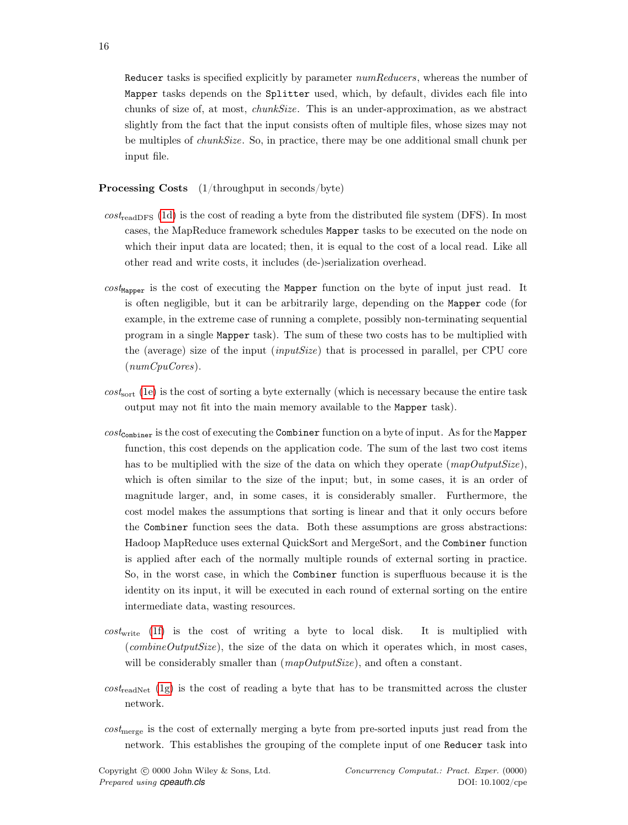Reducer tasks is specified explicitly by parameter  $numReducers$ , whereas the number of Mapper tasks depends on the Splitter used, which, by default, divides each file into chunks of size of, at most, chunkSize. This is an under-approximation, as we abstract slightly from the fact that the input consists often of multiple files, whose sizes may not be multiples of chunkSize. So, in practice, there may be one additional small chunk per input file.

## Processing Costs (1/throughput in seconds/byte)

- $cost_{\text{readDFS}}$  [\(1d\)](#page-13-4) is the cost of reading a byte from the distributed file system (DFS). In most cases, the MapReduce framework schedules Mapper tasks to be executed on the node on which their input data are located; then, it is equal to the cost of a local read. Like all other read and write costs, it includes (de-)serialization overhead.
- $\cos t_{\text{Mapper}}$  is the cost of executing the Mapper function on the byte of input just read. It is often negligible, but it can be arbitrarily large, depending on the Mapper code (for example, in the extreme case of running a complete, possibly non-terminating sequential program in a single Mapper task). The sum of these two costs has to be multiplied with the (average) size of the input (inputSize) that is processed in parallel, per CPU core (numCpuCores).
- $cost_{sort}$  [\(1e\)](#page-13-5) is the cost of sorting a byte externally (which is necessary because the entire task output may not fit into the main memory available to the Mapper task).
- $cost_{\text{Combiner}}$  is the cost of executing the Combiner function on a byte of input. As for the Mapper function, this cost depends on the application code. The sum of the last two cost items has to be multiplied with the size of the data on which they operate  $(mapOutputSize)$ , which is often similar to the size of the input; but, in some cases, it is an order of magnitude larger, and, in some cases, it is considerably smaller. Furthermore, the cost model makes the assumptions that sorting is linear and that it only occurs before the Combiner function sees the data. Both these assumptions are gross abstractions: Hadoop MapReduce uses external QuickSort and MergeSort, and the Combiner function is applied after each of the normally multiple rounds of external sorting in practice. So, in the worst case, in which the Combiner function is superfluous because it is the identity on its input, it will be executed in each round of external sorting on the entire intermediate data, wasting resources.
- $cost_{\text{write}}$  [\(1f\)](#page-13-6) is the cost of writing a byte to local disk. It is multiplied with (combineOutputSize), the size of the data on which it operates which, in most cases, will be considerably smaller than  $(mapOutputSize)$ , and often a constant.
- $cost_{readNet}$  [\(1g\)](#page-13-7) is the cost of reading a byte that has to be transmitted across the cluster network.
- $cost_{\text{merge}}$  is the cost of externally merging a byte from pre-sorted inputs just read from the network. This establishes the grouping of the complete input of one Reducer task into

Copyright © 0000 John Wiley & Sons, Ltd. Concurrency Computat.: Pract. Exper. (0000)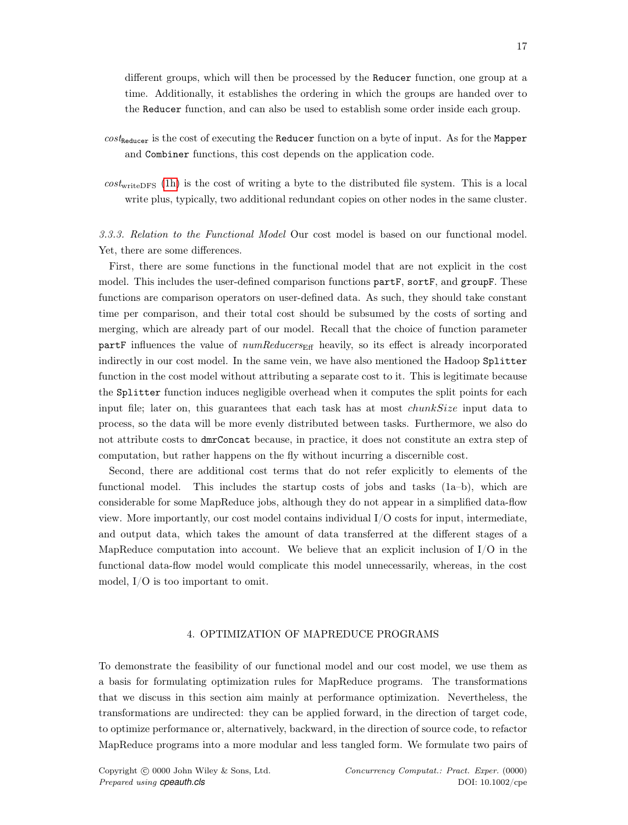different groups, which will then be processed by the Reducer function, one group at a time. Additionally, it establishes the ordering in which the groups are handed over to the Reducer function, and can also be used to establish some order inside each group.

- $cost_{\text{Reduce}}$  is the cost of executing the Reducer function on a byte of input. As for the Mapper and Combiner functions, this cost depends on the application code.
- $cost_{\text{writeDFS}}$  [\(1h\)](#page-13-8) is the cost of writing a byte to the distributed file system. This is a local write plus, typically, two additional redundant copies on other nodes in the same cluster.

# <span id="page-16-1"></span>3.3.3. Relation to the Functional Model Our cost model is based on our functional model. Yet, there are some differences.

First, there are some functions in the functional model that are not explicit in the cost model. This includes the user-defined comparison functions partF, sortF, and groupF. These functions are comparison operators on user-defined data. As such, they should take constant time per comparison, and their total cost should be subsumed by the costs of sorting and merging, which are already part of our model. Recall that the choice of function parameter partF influences the value of  $numReducers_{\text{Eff}}$  heavily, so its effect is already incorporated indirectly in our cost model. In the same vein, we have also mentioned the Hadoop Splitter function in the cost model without attributing a separate cost to it. This is legitimate because the Splitter function induces negligible overhead when it computes the split points for each input file; later on, this guarantees that each task has at most *chunkSize* input data to process, so the data will be more evenly distributed between tasks. Furthermore, we also do not attribute costs to dmrConcat because, in practice, it does not constitute an extra step of computation, but rather happens on the fly without incurring a discernible cost.

Second, there are additional cost terms that do not refer explicitly to elements of the functional model. This includes the startup costs of jobs and tasks (1a–b), which are considerable for some MapReduce jobs, although they do not appear in a simplified data-flow view. More importantly, our cost model contains individual I/O costs for input, intermediate, and output data, which takes the amount of data transferred at the different stages of a MapReduce computation into account. We believe that an explicit inclusion of I/O in the functional data-flow model would complicate this model unnecessarily, whereas, in the cost model, I/O is too important to omit.

# 4. OPTIMIZATION OF MAPREDUCE PROGRAMS

<span id="page-16-0"></span>To demonstrate the feasibility of our functional model and our cost model, we use them as a basis for formulating optimization rules for MapReduce programs. The transformations that we discuss in this section aim mainly at performance optimization. Nevertheless, the transformations are undirected: they can be applied forward, in the direction of target code, to optimize performance or, alternatively, backward, in the direction of source code, to refactor MapReduce programs into a more modular and less tangled form. We formulate two pairs of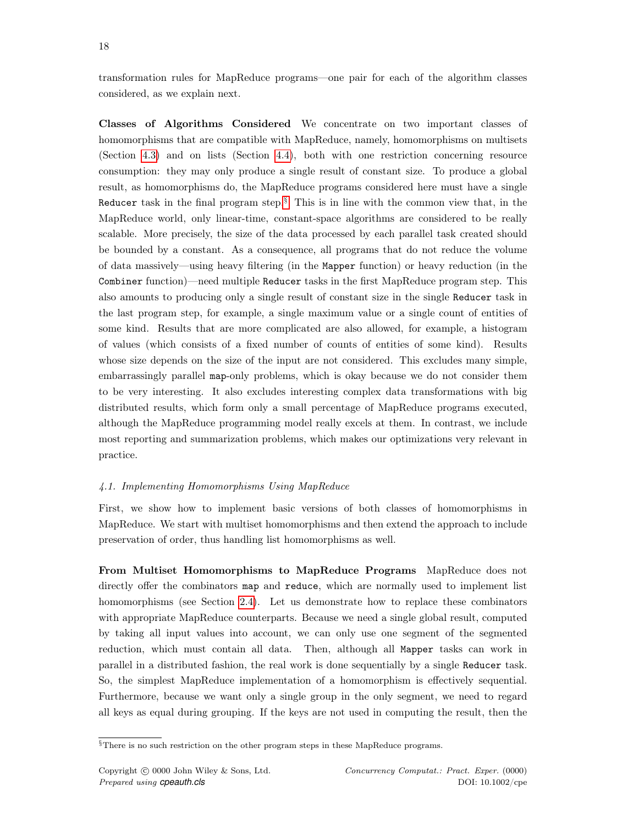transformation rules for MapReduce programs—one pair for each of the algorithm classes considered, as we explain next.

Classes of Algorithms Considered We concentrate on two important classes of homomorphisms that are compatible with MapReduce, namely, homomorphisms on multisets (Section [4.3\)](#page-19-0) and on lists (Section [4.4\)](#page-23-0), both with one restriction concerning resource consumption: they may only produce a single result of constant size. To produce a global result, as homomorphisms do, the MapReduce programs considered here must have a single Reducer task in the final program step. $§$  This is in line with the common view that, in the MapReduce world, only linear-time, constant-space algorithms are considered to be really scalable. More precisely, the size of the data processed by each parallel task created should be bounded by a constant. As a consequence, all programs that do not reduce the volume of data massively—using heavy filtering (in the Mapper function) or heavy reduction (in the Combiner function)—need multiple Reducer tasks in the first MapReduce program step. This also amounts to producing only a single result of constant size in the single Reducer task in the last program step, for example, a single maximum value or a single count of entities of some kind. Results that are more complicated are also allowed, for example, a histogram of values (which consists of a fixed number of counts of entities of some kind). Results whose size depends on the size of the input are not considered. This excludes many simple, embarrassingly parallel map-only problems, which is okay because we do not consider them to be very interesting. It also excludes interesting complex data transformations with big distributed results, which form only a small percentage of MapReduce programs executed, although the MapReduce programming model really excels at them. In contrast, we include most reporting and summarization problems, which makes our optimizations very relevant in practice.

# 4.1. Implementing Homomorphisms Using MapReduce

First, we show how to implement basic versions of both classes of homomorphisms in MapReduce. We start with multiset homomorphisms and then extend the approach to include preservation of order, thus handling list homomorphisms as well.

From Multiset Homomorphisms to MapReduce Programs MapReduce does not directly offer the combinators map and reduce, which are normally used to implement list homomorphisms (see Section [2.4\)](#page-6-0). Let us demonstrate how to replace these combinators with appropriate MapReduce counterparts. Because we need a single global result, computed by taking all input values into account, we can only use one segment of the segmented reduction, which must contain all data. Then, although all Mapper tasks can work in parallel in a distributed fashion, the real work is done sequentially by a single Reducer task. So, the simplest MapReduce implementation of a homomorphism is effectively sequential. Furthermore, because we want only a single group in the only segment, we need to regard all keys as equal during grouping. If the keys are not used in computing the result, then the

<span id="page-17-0"></span><sup>§</sup>There is no such restriction on the other program steps in these MapReduce programs.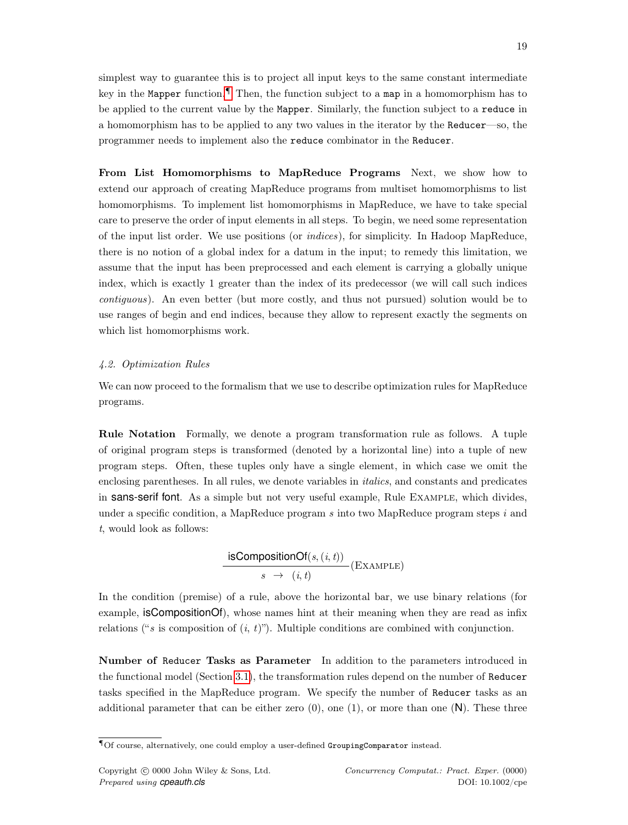simplest way to guarantee this is to project all input keys to the same constant intermediate key in the Mapper function.<sup> $\P$ </sup> Then, the function subject to a map in a homomorphism has to be applied to the current value by the Mapper. Similarly, the function subject to a reduce in a homomorphism has to be applied to any two values in the iterator by the Reducer—so, the programmer needs to implement also the reduce combinator in the Reducer.

From List Homomorphisms to MapReduce Programs Next, we show how to extend our approach of creating MapReduce programs from multiset homomorphisms to list homomorphisms. To implement list homomorphisms in MapReduce, we have to take special care to preserve the order of input elements in all steps. To begin, we need some representation of the input list order. We use positions (or indices), for simplicity. In Hadoop MapReduce, there is no notion of a global index for a datum in the input; to remedy this limitation, we assume that the input has been preprocessed and each element is carrying a globally unique index, which is exactly 1 greater than the index of its predecessor (we will call such indices contiguous). An even better (but more costly, and thus not pursued) solution would be to use ranges of begin and end indices, because they allow to represent exactly the segments on which list homomorphisms work.

### <span id="page-18-1"></span>4.2. Optimization Rules

We can now proceed to the formalism that we use to describe optimization rules for MapReduce programs.

Rule Notation Formally, we denote a program transformation rule as follows. A tuple of original program steps is transformed (denoted by a horizontal line) into a tuple of new program steps. Often, these tuples only have a single element, in which case we omit the enclosing parentheses. In all rules, we denote variables in italics, and constants and predicates in sans-serif font. As a simple but not very useful example, Rule Example, which divides, under a specific condition, a MapReduce program s into two MapReduce program steps i and t, would look as follows:

isCompositionOf(
$$
s
$$
, ( $i$ ,  $t$ ))  
\n
$$
s \rightarrow (i, t)
$$
\n(EXAMPLE)

In the condition (premise) of a rule, above the horizontal bar, we use binary relations (for example, isCompositionOf), whose names hint at their meaning when they are read as infix relations ("s is composition of  $(i, t)$ "). Multiple conditions are combined with conjunction.

Number of Reducer Tasks as Parameter In addition to the parameters introduced in the functional model (Section [3.1\)](#page-8-1), the transformation rules depend on the number of Reducer tasks specified in the MapReduce program. We specify the number of Reducer tasks as an additional parameter that can be either zero  $(0)$ , one  $(1)$ , or more than one  $(N)$ . These three

<span id="page-18-0"></span><sup>¶</sup>Of course, alternatively, one could employ a user-defined GroupingComparator instead.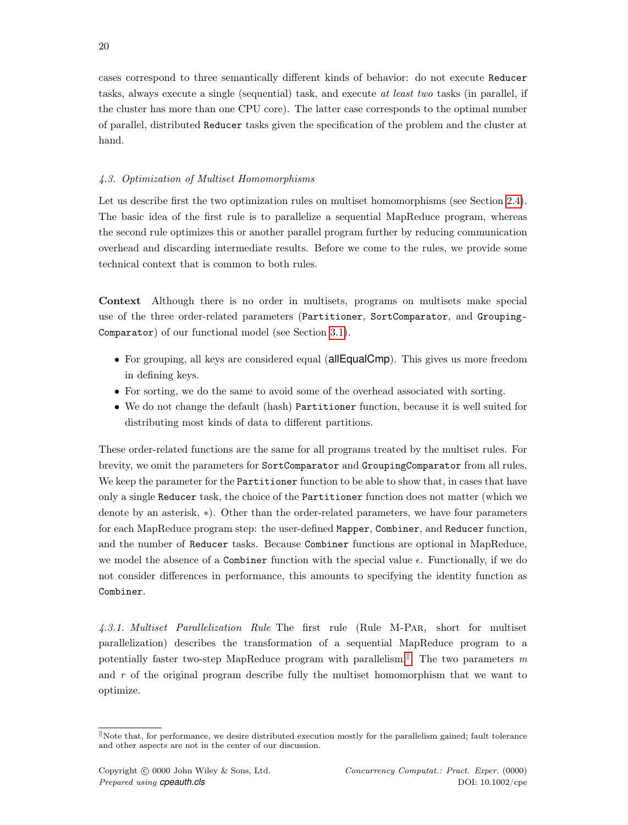cases correspond to three semantically different kinds of behavior: do not execute Reducer tasks, always execute a single (sequential) task, and execute at least two tasks (in parallel, if the cluster has more than one CPU core). The latter case corresponds to the optimal number of parallel, distributed Reducer tasks given the specification of the problem and the cluster at hand.

# <span id="page-19-0"></span>4.3. Optimization of Multiset Homomorphisms

Let us describe first the two optimization rules on multiset homomorphisms (see Section [2.4\)](#page-6-0). The basic idea of the first rule is to parallelize a sequential MapReduce program, whereas the second rule optimizes this or another parallel program further by reducing communication overhead and discarding intermediate results. Before we come to the rules, we provide some technical context that is common to both rules.

Context Although there is no order in multisets, programs on multisets make special use of the three order-related parameters (Partitioner, SortComparator, and Grouping-Comparator) of our functional model (see Section [3.1\)](#page-8-1).

- For grouping, all keys are considered equal (allEqualCmp). This gives us more freedom in defining keys.
- For sorting, we do the same to avoid some of the overhead associated with sorting.
- We do not change the default (hash) Partitioner function, because it is well suited for distributing most kinds of data to different partitions.

These order-related functions are the same for all programs treated by the multiset rules. For brevity, we omit the parameters for SortComparator and GroupingComparator from all rules. We keep the parameter for the Partitioner function to be able to show that, in cases that have only a single Reducer task, the choice of the Partitioner function does not matter (which we denote by an asterisk, ∗). Other than the order-related parameters, we have four parameters for each MapReduce program step: the user-defined Mapper, Combiner, and Reducer function, and the number of Reducer tasks. Because Combiner functions are optional in MapReduce, we model the absence of a Combiner function with the special value  $\epsilon$ . Functionally, if we do not consider differences in performance, this amounts to specifying the identity function as Combiner.

<span id="page-19-2"></span>4.3.1. Multiset Parallelization Rule The first rule (Rule M-Par, short for multiset parallelization) describes the transformation of a sequential MapReduce program to a potentially faster two-step MapReduce program with parallelism.<sup> $\parallel$ </sup> The two parameters m and  $r$  of the original program describe fully the multiset homomorphism that we want to optimize.

<span id="page-19-1"></span> $\mathbb{N}$  Note that, for performance, we desire distributed execution mostly for the parallelism gained; fault tolerance and other aspects are not in the center of our discussion.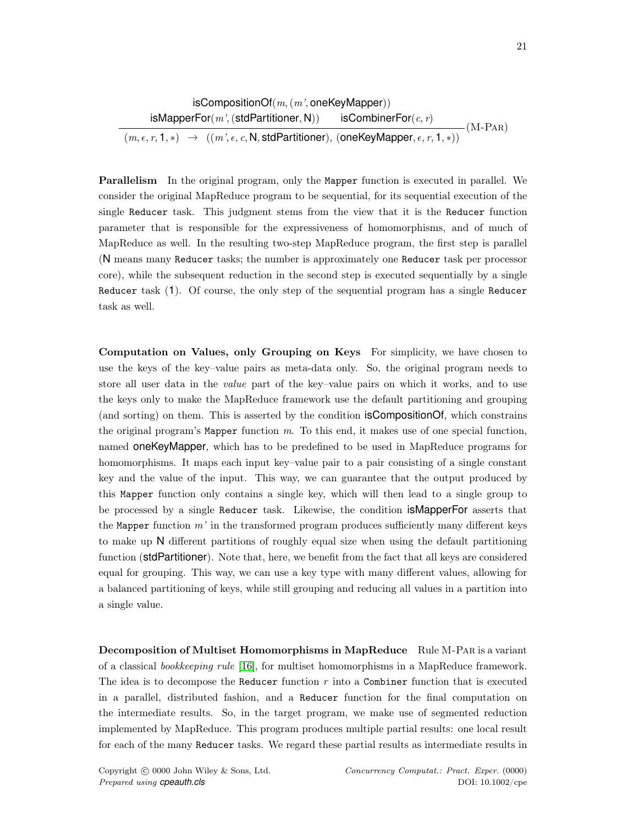<span id="page-20-0"></span>

| isCompositionOf( $m, (m', \text{oneKeyMapper})$ ) |                                                                                                               |                        |           |  |  |
|---------------------------------------------------|---------------------------------------------------------------------------------------------------------------|------------------------|-----------|--|--|
|                                                   | isMapperFor(m', (stdPartitioner, N))                                                                          | isCombinerFor $(c, r)$ | $(M-PAR)$ |  |  |
|                                                   | $(m, \epsilon, r, 1, *) \rightarrow ((m', \epsilon, c, N, stdPartitioner), (oneKeyMapper, \epsilon, r, 1, *)$ |                        |           |  |  |

Parallelism In the original program, only the Mapper function is executed in parallel. We consider the original MapReduce program to be sequential, for its sequential execution of the single Reducer task. This judgment stems from the view that it is the Reducer function parameter that is responsible for the expressiveness of homomorphisms, and of much of MapReduce as well. In the resulting two-step MapReduce program, the first step is parallel (N means many Reducer tasks; the number is approximately one Reducer task per processor core), while the subsequent reduction in the second step is executed sequentially by a single Reducer task (1). Of course, the only step of the sequential program has a single Reducer task as well.

Computation on Values, only Grouping on Keys For simplicity, we have chosen to use the keys of the key–value pairs as meta-data only. So, the original program needs to store all user data in the value part of the key–value pairs on which it works, and to use the keys only to make the MapReduce framework use the default partitioning and grouping (and sorting) on them. This is asserted by the condition isCompositionOf, which constrains the original program's Mapper function m. To this end, it makes use of one special function, named oneKeyMapper, which has to be predefined to be used in MapReduce programs for homomorphisms. It maps each input key–value pair to a pair consisting of a single constant key and the value of the input. This way, we can guarantee that the output produced by this Mapper function only contains a single key, which will then lead to a single group to be processed by a single Reducer task. Likewise, the condition isMapperFor asserts that the Mapper function  $m'$  in the transformed program produces sufficiently many different keys to make up N different partitions of roughly equal size when using the default partitioning function (stdPartitioner). Note that, here, we benefit from the fact that all keys are considered equal for grouping. This way, we can use a key type with many different values, allowing for a balanced partitioning of keys, while still grouping and reducing all values in a partition into a single value.

Decomposition of Multiset Homomorphisms in MapReduce Rule M-Par is a variant of a classical bookkeeping rule [\[16\]](#page-36-3), for multiset homomorphisms in a MapReduce framework. The idea is to decompose the Reducer function  $r$  into a Combiner function that is executed in a parallel, distributed fashion, and a Reducer function for the final computation on the intermediate results. So, in the target program, we make use of segmented reduction implemented by MapReduce. This program produces multiple partial results: one local result for each of the many Reducer tasks. We regard these partial results as intermediate results in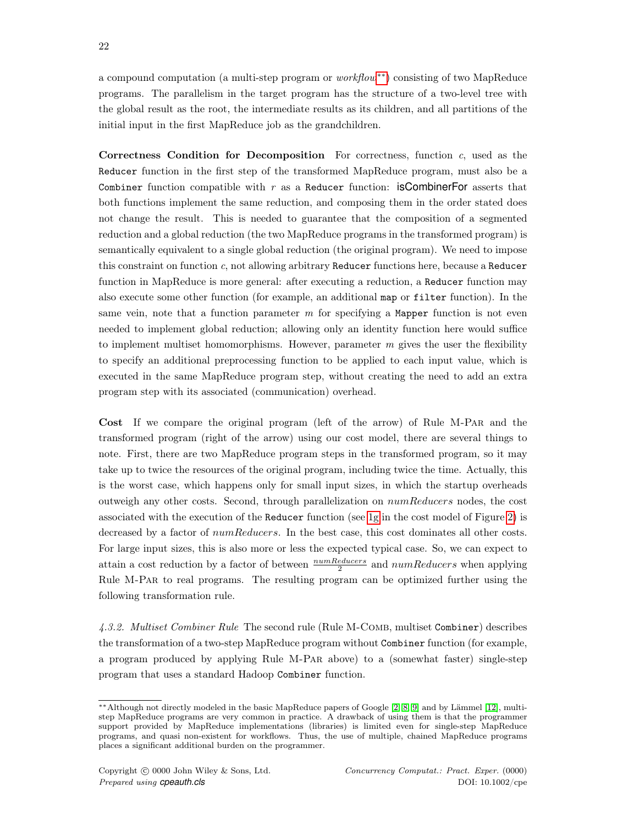<span id="page-21-1"></span>a compound computation (a multi-step program or workflow[∗∗](#page-21-0)) consisting of two MapReduce programs. The parallelism in the target program has the structure of a two-level tree with the global result as the root, the intermediate results as its children, and all partitions of the initial input in the first MapReduce job as the grandchildren.

Correctness Condition for Decomposition For correctness, function  $c$ , used as the Reducer function in the first step of the transformed MapReduce program, must also be a Combiner function compatible with  $r$  as a Reducer function: **isCombinerFor** asserts that both functions implement the same reduction, and composing them in the order stated does not change the result. This is needed to guarantee that the composition of a segmented reduction and a global reduction (the two MapReduce programs in the transformed program) is semantically equivalent to a single global reduction (the original program). We need to impose this constraint on function c, not allowing arbitrary Reducer functions here, because a Reducer function in MapReduce is more general: after executing a reduction, a Reducer function may also execute some other function (for example, an additional map or filter function). In the same vein, note that a function parameter  $m$  for specifying a Mapper function is not even needed to implement global reduction; allowing only an identity function here would suffice to implement multiset homomorphisms. However, parameter  $m$  gives the user the flexibility to specify an additional preprocessing function to be applied to each input value, which is executed in the same MapReduce program step, without creating the need to add an extra program step with its associated (communication) overhead.

Cost If we compare the original program (left of the arrow) of Rule M-Par and the transformed program (right of the arrow) using our cost model, there are several things to note. First, there are two MapReduce program steps in the transformed program, so it may take up to twice the resources of the original program, including twice the time. Actually, this is the worst case, which happens only for small input sizes, in which the startup overheads outweigh any other costs. Second, through parallelization on numReducers nodes, the cost associated with the execution of the Reducer function (see [1g](#page-13-7) in the cost model of Figure [2\)](#page-13-0) is decreased by a factor of  $numReducers$ . In the best case, this cost dominates all other costs. For large input sizes, this is also more or less the expected typical case. So, we can expect to attain a cost reduction by a factor of between  $\frac{numReducers}{2}$  and  $numReducers$  when applying Rule M-Par to real programs. The resulting program can be optimized further using the following transformation rule.

4.3.2. Multiset Combiner Rule The second rule (Rule M-Comb, multiset Combiner) describes the transformation of a two-step MapReduce program without Combiner function (for example, a program produced by applying Rule M-Par above) to a (somewhat faster) single-step program that uses a standard Hadoop Combiner function.

<span id="page-21-0"></span><sup>∗∗</sup>Although not directly modeled in the basic MapReduce papers of Google [\[2,](#page-35-1) [8,](#page-35-7) [9\]](#page-35-8) and by Lämmel [\[12\]](#page-35-11), multistep MapReduce programs are very common in practice. A drawback of using them is that the programmer support provided by MapReduce implementations (libraries) is limited even for single-step MapReduce programs, and quasi non-existent for workflows. Thus, the use of multiple, chained MapReduce programs places a significant additional burden on the programmer.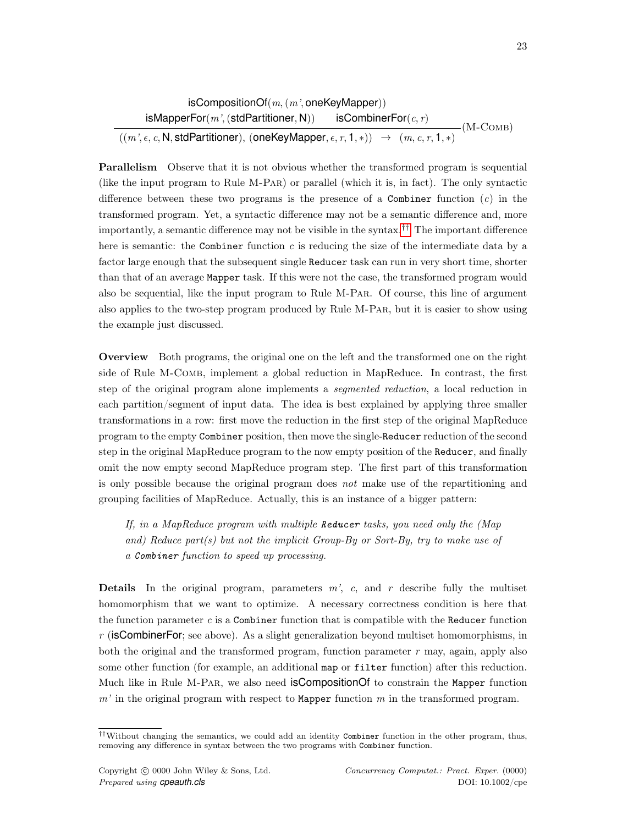$$
\begin{array}{rl} \text{isCompositionOf}(m, (m', \text{oneKeyMapper})) \\ \text{isMaperFor}(m', (\text{stdPartitioner}, \text{N})) & \text{isCombinerFor}(c, r) \\ & ((m', \epsilon, c, \text{N}, \text{stdPartitioner}), (\text{oneKeyMapper}, \epsilon, r, 1, *) ) \rightarrow (m, c, r, 1, *) \end{array} \text{(M-COMB)}
$$

Parallelism Observe that it is not obvious whether the transformed program is sequential (like the input program to Rule M-Par) or parallel (which it is, in fact). The only syntactic difference between these two programs is the presence of a Combiner function  $(c)$  in the transformed program. Yet, a syntactic difference may not be a semantic difference and, more importantly, a semantic difference may not be visible in the syntax.<sup>[††](#page-22-0)</sup> The important difference here is semantic: the Combiner function  $c$  is reducing the size of the intermediate data by a factor large enough that the subsequent single Reducer task can run in very short time, shorter than that of an average Mapper task. If this were not the case, the transformed program would also be sequential, like the input program to Rule M-Par. Of course, this line of argument also applies to the two-step program produced by Rule M-Par, but it is easier to show using the example just discussed.

Overview Both programs, the original one on the left and the transformed one on the right side of Rule M-Comb, implement a global reduction in MapReduce. In contrast, the first step of the original program alone implements a segmented reduction, a local reduction in each partition/segment of input data. The idea is best explained by applying three smaller transformations in a row: first move the reduction in the first step of the original MapReduce program to the empty Combiner position, then move the single-Reducer reduction of the second step in the original MapReduce program to the now empty position of the Reducer, and finally omit the now empty second MapReduce program step. The first part of this transformation is only possible because the original program does not make use of the repartitioning and grouping facilities of MapReduce. Actually, this is an instance of a bigger pattern:

If, in a MapReduce program with multiple Reducer tasks, you need only the  $(Map)$ and) Reduce part(s) but not the implicit Group-By or Sort-By, try to make use of a Combiner function to speed up processing.

**Details** In the original program, parameters  $m'$ , c, and r describe fully the multiset homomorphism that we want to optimize. A necessary correctness condition is here that the function parameter  $c$  is a Combiner function that is compatible with the Reducer function  $r$  (is Combiner For; see above). As a slight generalization beyond multiset homomorphisms, in both the original and the transformed program, function parameter  $r$  may, again, apply also some other function (for example, an additional map or filter function) after this reduction. Much like in Rule M-Par, we also need isCompositionOf to constrain the Mapper function  $m'$  in the original program with respect to Mapper function  $m$  in the transformed program.

<span id="page-22-0"></span><sup>††</sup>Without changing the semantics, we could add an identity Combiner function in the other program, thus, removing any difference in syntax between the two programs with Combiner function.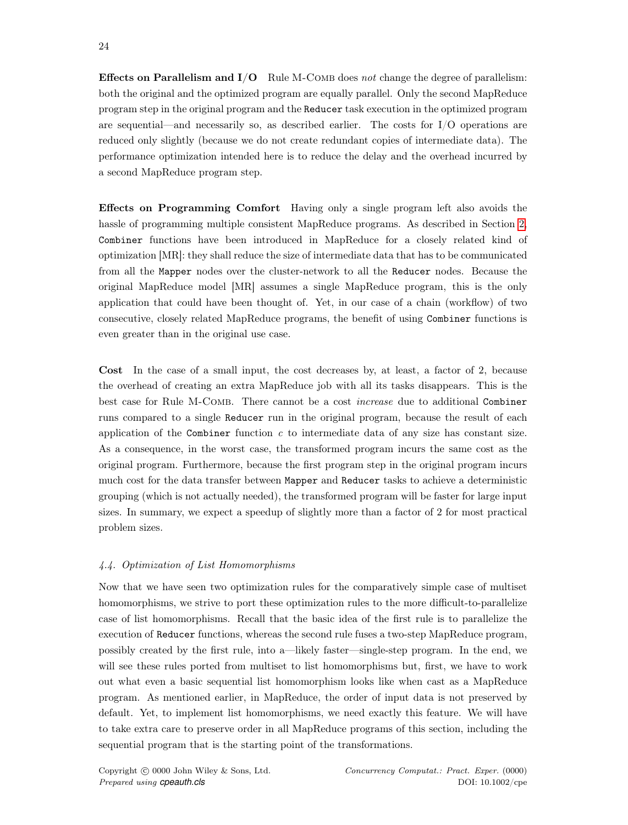**Effects on Parallelism and I/O** Rule M-COMB does not change the degree of parallelism: both the original and the optimized program are equally parallel. Only the second MapReduce program step in the original program and the Reducer task execution in the optimized program are sequential—and necessarily so, as described earlier. The costs for I/O operations are reduced only slightly (because we do not create redundant copies of intermediate data). The performance optimization intended here is to reduce the delay and the overhead incurred by a second MapReduce program step.

Effects on Programming Comfort Having only a single program left also avoids the hassle of programming multiple consistent MapReduce programs. As described in Section [2,](#page-3-0) Combiner functions have been introduced in MapReduce for a closely related kind of optimization [MR]: they shall reduce the size of intermediate data that has to be communicated from all the Mapper nodes over the cluster-network to all the Reducer nodes. Because the original MapReduce model [MR] assumes a single MapReduce program, this is the only application that could have been thought of. Yet, in our case of a chain (workflow) of two consecutive, closely related MapReduce programs, the benefit of using Combiner functions is even greater than in the original use case.

Cost In the case of a small input, the cost decreases by, at least, a factor of 2, because the overhead of creating an extra MapReduce job with all its tasks disappears. This is the best case for Rule M-COMB. There cannot be a cost *increase* due to additional Combiner runs compared to a single Reducer run in the original program, because the result of each application of the Combiner function  $c$  to intermediate data of any size has constant size. As a consequence, in the worst case, the transformed program incurs the same cost as the original program. Furthermore, because the first program step in the original program incurs much cost for the data transfer between Mapper and Reducer tasks to achieve a deterministic grouping (which is not actually needed), the transformed program will be faster for large input sizes. In summary, we expect a speedup of slightly more than a factor of 2 for most practical problem sizes.

# <span id="page-23-0"></span>4.4. Optimization of List Homomorphisms

Now that we have seen two optimization rules for the comparatively simple case of multiset homomorphisms, we strive to port these optimization rules to the more difficult-to-parallelize case of list homomorphisms. Recall that the basic idea of the first rule is to parallelize the execution of Reducer functions, whereas the second rule fuses a two-step MapReduce program, possibly created by the first rule, into a—likely faster—single-step program. In the end, we will see these rules ported from multiset to list homomorphisms but, first, we have to work out what even a basic sequential list homomorphism looks like when cast as a MapReduce program. As mentioned earlier, in MapReduce, the order of input data is not preserved by default. Yet, to implement list homomorphisms, we need exactly this feature. We will have to take extra care to preserve order in all MapReduce programs of this section, including the sequential program that is the starting point of the transformations.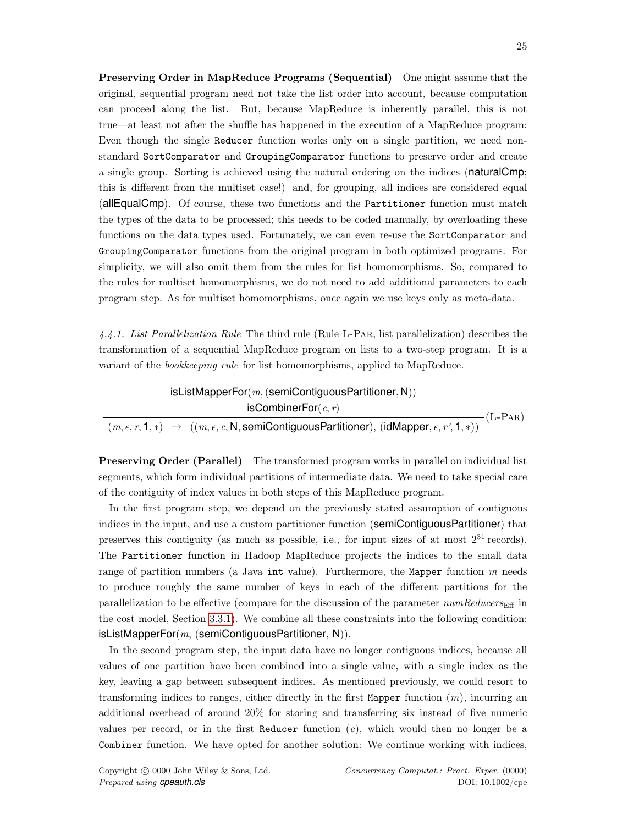Preserving Order in MapReduce Programs (Sequential) One might assume that the original, sequential program need not take the list order into account, because computation can proceed along the list. But, because MapReduce is inherently parallel, this is not true—at least not after the shuffle has happened in the execution of a MapReduce program: Even though the single Reducer function works only on a single partition, we need nonstandard SortComparator and GroupingComparator functions to preserve order and create a single group. Sorting is achieved using the natural ordering on the indices (naturalCmp; this is different from the multiset case!) and, for grouping, all indices are considered equal (allEqualCmp). Of course, these two functions and the Partitioner function must match the types of the data to be processed; this needs to be coded manually, by overloading these functions on the data types used. Fortunately, we can even re-use the SortComparator and GroupingComparator functions from the original program in both optimized programs. For simplicity, we will also omit them from the rules for list homomorphisms. So, compared to the rules for multiset homomorphisms, we do not need to add additional parameters to each program step. As for multiset homomorphisms, once again we use keys only as meta-data.

4.4.1. List Parallelization Rule The third rule (Rule L-Par, list parallelization) describes the transformation of a sequential MapReduce program on lists to a two-step program. It is a variant of the bookkeeping rule for list homomorphisms, applied to MapReduce.

| isListMapperFor( $m$ , (semiContiguousPartitioner, N))                                                                |            |
|-----------------------------------------------------------------------------------------------------------------------|------------|
| isCombinerFor(c, r)                                                                                                   | $-(L-PAR)$ |
| $(m, \epsilon, r, 1, *) \rightarrow ((m, \epsilon, c, N, semiContiquous Partitioner), (idMapper, \epsilon, r', 1, *)$ |            |

Preserving Order (Parallel) The transformed program works in parallel on individual list segments, which form individual partitions of intermediate data. We need to take special care of the contiguity of index values in both steps of this MapReduce program.

In the first program step, we depend on the previously stated assumption of contiguous indices in the input, and use a custom partitioner function (semiContiguousPartitioner) that preserves this contiguity (as much as possible, i.e., for input sizes of at most  $2^{31}$  records). The Partitioner function in Hadoop MapReduce projects the indices to the small data range of partition numbers (a Java int value). Furthermore, the Mapper function  $m$  needs to produce roughly the same number of keys in each of the different partitions for the parallelization to be effective (compare for the discussion of the parameter  $numReducers_{\text{Eff}}$  in the cost model, Section [3.3.1\)](#page-13-9). We combine all these constraints into the following condition: isListMapperFor $(m,$  (semiContiguousPartitioner, N)).

In the second program step, the input data have no longer contiguous indices, because all values of one partition have been combined into a single value, with a single index as the key, leaving a gap between subsequent indices. As mentioned previously, we could resort to transforming indices to ranges, either directly in the first Mapper function  $(m)$ , incurring an additional overhead of around 20% for storing and transferring six instead of five numeric values per record, or in the first Reducer function  $(c)$ , which would then no longer be a Combiner function. We have opted for another solution: We continue working with indices,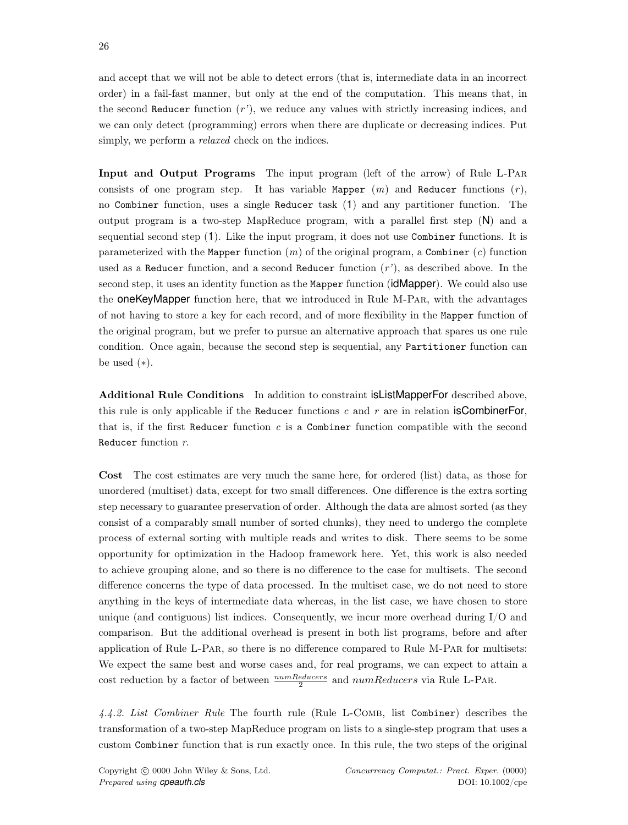and accept that we will not be able to detect errors (that is, intermediate data in an incorrect order) in a fail-fast manner, but only at the end of the computation. This means that, in the second Reducer function  $(r')$ , we reduce any values with strictly increasing indices, and we can only detect (programming) errors when there are duplicate or decreasing indices. Put simply, we perform a *relaxed* check on the indices.

Input and Output Programs The input program (left of the arrow) of Rule L-Par consists of one program step. It has variable Mapper  $(m)$  and Reducer functions  $(r)$ , no Combiner function, uses a single Reducer task (1) and any partitioner function. The output program is a two-step MapReduce program, with a parallel first step (N) and a sequential second step (1). Like the input program, it does not use Combiner functions. It is parameterized with the Mapper function  $(m)$  of the original program, a Combiner  $(c)$  function used as a Reducer function, and a second Reducer function  $(r')$ , as described above. In the second step, it uses an identity function as the Mapper function (idMapper). We could also use the oneKeyMapper function here, that we introduced in Rule M-Par, with the advantages of not having to store a key for each record, and of more flexibility in the Mapper function of the original program, but we prefer to pursue an alternative approach that spares us one rule condition. Once again, because the second step is sequential, any Partitioner function can be used  $(*)$ .

Additional Rule Conditions In addition to constraint isListMapperFor described above, this rule is only applicable if the Reducer functions c and  $r$  are in relation is CombinerFor, that is, if the first Reducer function  $c$  is a Combiner function compatible with the second Reducer function r.

Cost The cost estimates are very much the same here, for ordered (list) data, as those for unordered (multiset) data, except for two small differences. One difference is the extra sorting step necessary to guarantee preservation of order. Although the data are almost sorted (as they consist of a comparably small number of sorted chunks), they need to undergo the complete process of external sorting with multiple reads and writes to disk. There seems to be some opportunity for optimization in the Hadoop framework here. Yet, this work is also needed to achieve grouping alone, and so there is no difference to the case for multisets. The second difference concerns the type of data processed. In the multiset case, we do not need to store anything in the keys of intermediate data whereas, in the list case, we have chosen to store unique (and contiguous) list indices. Consequently, we incur more overhead during  $I/O$  and comparison. But the additional overhead is present in both list programs, before and after application of Rule L-Par, so there is no difference compared to Rule M-Par for multisets: We expect the same best and worse cases and, for real programs, we can expect to attain a cost reduction by a factor of between  $\frac{numReducers}{2}$  and  $numReducers$  via Rule L-PAR.

4.4.2. List Combiner Rule The fourth rule (Rule L-Comb, list Combiner) describes the transformation of a two-step MapReduce program on lists to a single-step program that uses a custom Combiner function that is run exactly once. In this rule, the two steps of the original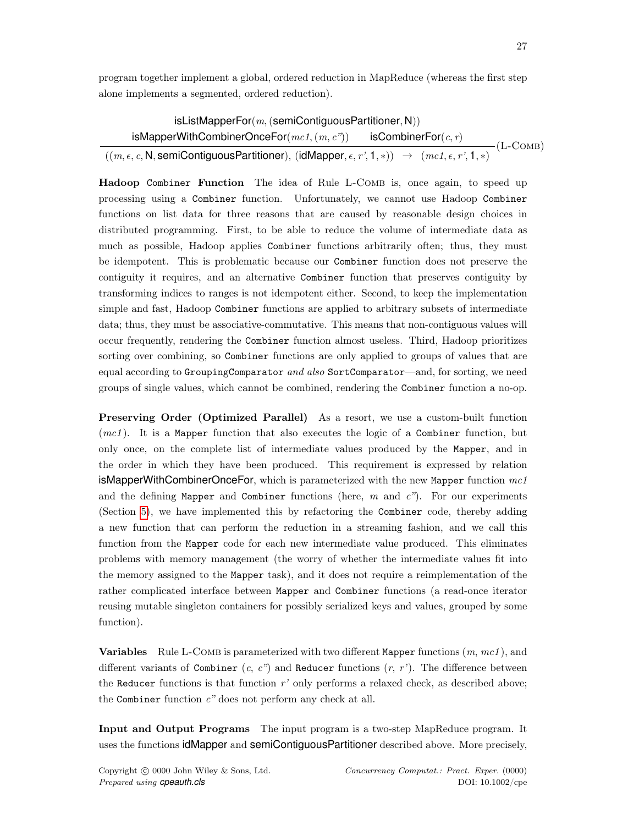program together implement a global, ordered reduction in MapReduce (whereas the first step alone implements a segmented, ordered reduction).

$$
\begin{array}{rl} \textsf{isListMapperFor} (m, (\textsf{semiContiquousPartitioner}, \textsf{N})) \\ \textsf{isMapperWithCombinePOnceFor} (mc1, (m, c^{\prime\prime})) & \textsf{isCombinerFor} (c, r) \\ \hline \left((m, \epsilon, c, \textsf{N}, \textsf{semiContiquousPartitioner}), \, (\textsf{idMapper}, \epsilon, r^{\prime}, 1, *) \right) & \rightarrow \ (mc1, \epsilon, r^{\prime}, 1, *) \end{array} (\text{L-CoMB})
$$

Hadoop Combiner Function The idea of Rule L-COMB is, once again, to speed up processing using a Combiner function. Unfortunately, we cannot use Hadoop Combiner functions on list data for three reasons that are caused by reasonable design choices in distributed programming. First, to be able to reduce the volume of intermediate data as much as possible, Hadoop applies Combiner functions arbitrarily often; thus, they must be idempotent. This is problematic because our Combiner function does not preserve the contiguity it requires, and an alternative Combiner function that preserves contiguity by transforming indices to ranges is not idempotent either. Second, to keep the implementation simple and fast, Hadoop Combiner functions are applied to arbitrary subsets of intermediate data; thus, they must be associative-commutative. This means that non-contiguous values will occur frequently, rendering the Combiner function almost useless. Third, Hadoop prioritizes sorting over combining, so Combiner functions are only applied to groups of values that are equal according to GroupingComparator and also SortComparator—and, for sorting, we need groups of single values, which cannot be combined, rendering the Combiner function a no-op.

Preserving Order (Optimized Parallel) As a resort, we use a custom-built function  $(mc1)$ . It is a Mapper function that also executes the logic of a Combiner function, but only once, on the complete list of intermediate values produced by the Mapper, and in the order in which they have been produced. This requirement is expressed by relation isMapperWithCombinerOnceFor, which is parameterized with the new Mapper function  $mc1$ and the defining Mapper and Combiner functions (here,  $m$  and  $c$ "). For our experiments (Section [5\)](#page-27-0), we have implemented this by refactoring the Combiner code, thereby adding a new function that can perform the reduction in a streaming fashion, and we call this function from the Mapper code for each new intermediate value produced. This eliminates problems with memory management (the worry of whether the intermediate values fit into the memory assigned to the Mapper task), and it does not require a reimplementation of the rather complicated interface between Mapper and Combiner functions (a read-once iterator reusing mutable singleton containers for possibly serialized keys and values, grouped by some function).

**Variables** Rule L-COMB is parameterized with two different Mapper functions  $(m, mc1)$ , and different variants of Combiner  $(c, c<sup>n</sup>)$  and Reducer functions  $(r, r')$ . The difference between the Reducer functions is that function r' only performs a relaxed check, as described above; the Combiner function c" does not perform any check at all.

Input and Output Programs The input program is a two-step MapReduce program. It uses the functions idMapper and semiContiguousPartitioner described above. More precisely,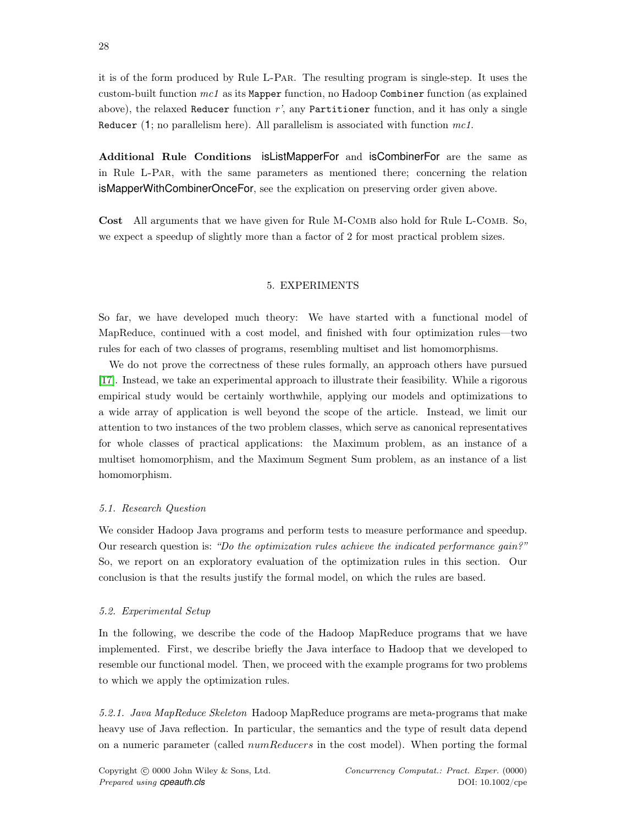<span id="page-27-1"></span>it is of the form produced by Rule L-Par. The resulting program is single-step. It uses the custom-built function  $mc1$  as its Mapper function, no Hadoop Combiner function (as explained above), the relaxed Reducer function  $r'$ , any Partitioner function, and it has only a single Reducer (1; no parallelism here). All parallelism is associated with function  $mc1$ .

Additional Rule Conditions isListMapperFor and isCombinerFor are the same as in Rule L-Par, with the same parameters as mentioned there; concerning the relation isMapperWithCombinerOnceFor, see the explication on preserving order given above.

Cost All arguments that we have given for Rule M-Comb also hold for Rule L-Comb. So, we expect a speedup of slightly more than a factor of 2 for most practical problem sizes.

### 5. EXPERIMENTS

<span id="page-27-0"></span>So far, we have developed much theory: We have started with a functional model of MapReduce, continued with a cost model, and finished with four optimization rules—two rules for each of two classes of programs, resembling multiset and list homomorphisms.

We do not prove the correctness of these rules formally, an approach others have pursued [\[17\]](#page-36-4). Instead, we take an experimental approach to illustrate their feasibility. While a rigorous empirical study would be certainly worthwhile, applying our models and optimizations to a wide array of application is well beyond the scope of the article. Instead, we limit our attention to two instances of the two problem classes, which serve as canonical representatives for whole classes of practical applications: the Maximum problem, as an instance of a multiset homomorphism, and the Maximum Segment Sum problem, as an instance of a list homomorphism.

### 5.1. Research Question

We consider Hadoop Java programs and perform tests to measure performance and speedup. Our research question is: "Do the optimization rules achieve the indicated performance gain?" So, we report on an exploratory evaluation of the optimization rules in this section. Our conclusion is that the results justify the formal model, on which the rules are based.

#### 5.2. Experimental Setup

In the following, we describe the code of the Hadoop MapReduce programs that we have implemented. First, we describe briefly the Java interface to Hadoop that we developed to resemble our functional model. Then, we proceed with the example programs for two problems to which we apply the optimization rules.

5.2.1. Java MapReduce Skeleton Hadoop MapReduce programs are meta-programs that make heavy use of Java reflection. In particular, the semantics and the type of result data depend on a numeric parameter (called  $numReducers$  in the cost model). When porting the formal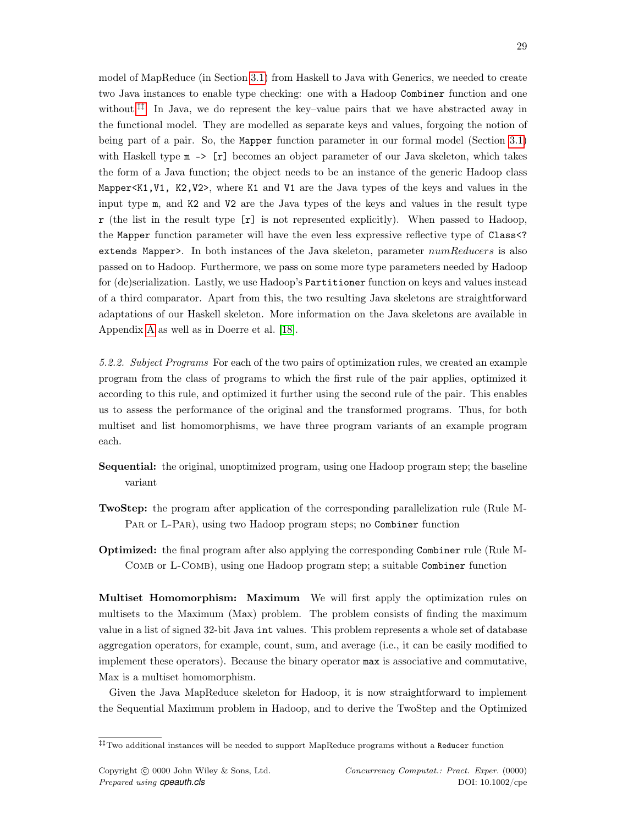<span id="page-28-1"></span>model of MapReduce (in Section [3.1\)](#page-8-1) from Haskell to Java with Generics, we needed to create two Java instances to enable type checking: one with a Hadoop Combiner function and one without.<sup> $\ddagger\ddagger$ </sup> In Java, we do represent the key–value pairs that we have abstracted away in the functional model. They are modelled as separate keys and values, forgoing the notion of being part of a pair. So, the Mapper function parameter in our formal model (Section [3.1\)](#page-8-1) with Haskell type m  $\rightarrow$  [r] becomes an object parameter of our Java skeleton, which takes the form of a Java function; the object needs to be an instance of the generic Hadoop class Mapper<K1, V1, K2, V2>, where K1 and V1 are the Java types of the keys and values in the input type m, and K2 and V2 are the Java types of the keys and values in the result type  $\mathbf r$  (the list in the result type  $[\mathbf r]$  is not represented explicitly). When passed to Hadoop, the Mapper function parameter will have the even less expressive reflective type of Class<? extends Mapper>. In both instances of the Java skeleton, parameter numReducers is also passed on to Hadoop. Furthermore, we pass on some more type parameters needed by Hadoop for (de)serialization. Lastly, we use Hadoop's Partitioner function on keys and values instead of a third comparator. Apart from this, the two resulting Java skeletons are straightforward adaptations of our Haskell skeleton. More information on the Java skeletons are available in Appendix [A](#page-38-0) as well as in Doerre et al. [\[18\]](#page-36-5).

<span id="page-28-2"></span>5.2.2. Subject Programs For each of the two pairs of optimization rules, we created an example program from the class of programs to which the first rule of the pair applies, optimized it according to this rule, and optimized it further using the second rule of the pair. This enables us to assess the performance of the original and the transformed programs. Thus, for both multiset and list homomorphisms, we have three program variants of an example program each.

- Sequential: the original, unoptimized program, using one Hadoop program step; the baseline variant
- TwoStep: the program after application of the corresponding parallelization rule (Rule M-Par or L-Par), using two Hadoop program steps; no Combiner function
- Optimized: the final program after also applying the corresponding Combiner rule (Rule M-Comb or L-Comb), using one Hadoop program step; a suitable Combiner function

Multiset Homomorphism: Maximum We will first apply the optimization rules on multisets to the Maximum (Max) problem. The problem consists of finding the maximum value in a list of signed 32-bit Java int values. This problem represents a whole set of database aggregation operators, for example, count, sum, and average (i.e., it can be easily modified to implement these operators). Because the binary operator max is associative and commutative, Max is a multiset homomorphism.

Given the Java MapReduce skeleton for Hadoop, it is now straightforward to implement the Sequential Maximum problem in Hadoop, and to derive the TwoStep and the Optimized

<span id="page-28-0"></span><sup>‡‡</sup>Two additional instances will be needed to support MapReduce programs without a Reducer function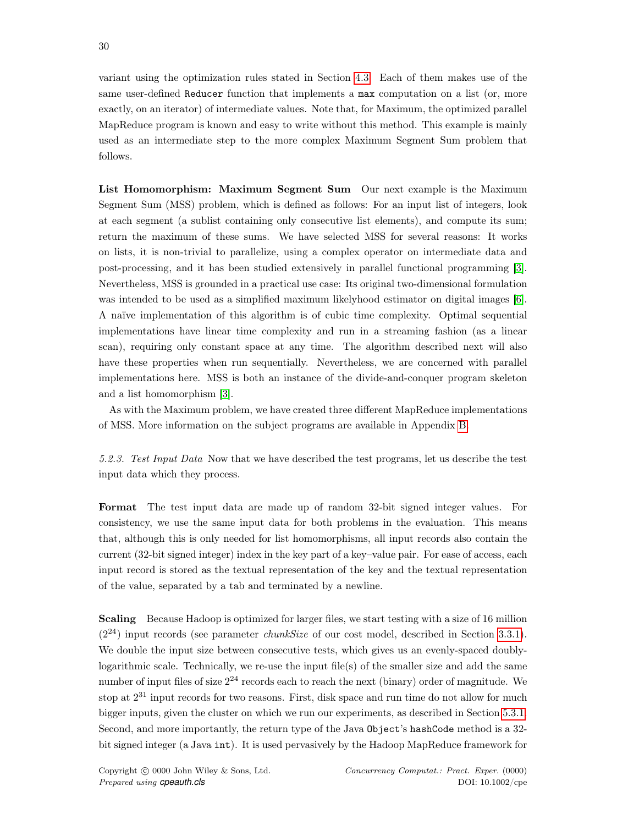<span id="page-29-1"></span>variant using the optimization rules stated in Section [4.3.](#page-19-0) Each of them makes use of the same user-defined Reducer function that implements a max computation on a list (or, more exactly, on an iterator) of intermediate values. Note that, for Maximum, the optimized parallel MapReduce program is known and easy to write without this method. This example is mainly used as an intermediate step to the more complex Maximum Segment Sum problem that follows.

List Homomorphism: Maximum Segment Sum Our next example is the Maximum Segment Sum (MSS) problem, which is defined as follows: For an input list of integers, look at each segment (a sublist containing only consecutive list elements), and compute its sum; return the maximum of these sums. We have selected MSS for several reasons: It works on lists, it is non-trivial to parallelize, using a complex operator on intermediate data and post-processing, and it has been studied extensively in parallel functional programming [\[3\]](#page-35-2). Nevertheless, MSS is grounded in a practical use case: Its original two-dimensional formulation was intended to be used as a simplified maximum likelyhood estimator on digital images [\[6\]](#page-35-5). A naïve implementation of this algorithm is of cubic time complexity. Optimal sequential implementations have linear time complexity and run in a streaming fashion (as a linear scan), requiring only constant space at any time. The algorithm described next will also have these properties when run sequentially. Nevertheless, we are concerned with parallel implementations here. MSS is both an instance of the divide-and-conquer program skeleton and a list homomorphism [\[3\]](#page-35-2).

As with the Maximum problem, we have created three different MapReduce implementations of MSS. More information on the subject programs are available in Appendix [B.](#page-41-0)

<span id="page-29-0"></span>5.2.3. Test Input Data Now that we have described the test programs, let us describe the test input data which they process.

Format The test input data are made up of random 32-bit signed integer values. For consistency, we use the same input data for both problems in the evaluation. This means that, although this is only needed for list homomorphisms, all input records also contain the current (32-bit signed integer) index in the key part of a key–value pair. For ease of access, each input record is stored as the textual representation of the key and the textual representation of the value, separated by a tab and terminated by a newline.

Scaling Because Hadoop is optimized for larger files, we start testing with a size of 16 million  $(2^{24})$  input records (see parameter *chunkSize* of our cost model, described in Section [3.3.1\)](#page-13-9). We double the input size between consecutive tests, which gives us an evenly-spaced doublylogarithmic scale. Technically, we re-use the input file(s) of the smaller size and add the same number of input files of size  $2^{24}$  records each to reach the next (binary) order of magnitude. We stop at  $2^{31}$  input records for two reasons. First, disk space and run time do not allow for much bigger inputs, given the cluster on which we run our experiments, as described in Section [5.3.1.](#page-30-0) Second, and more importantly, the return type of the Java Object's hashCode method is a 32 bit signed integer (a Java int). It is used pervasively by the Hadoop MapReduce framework for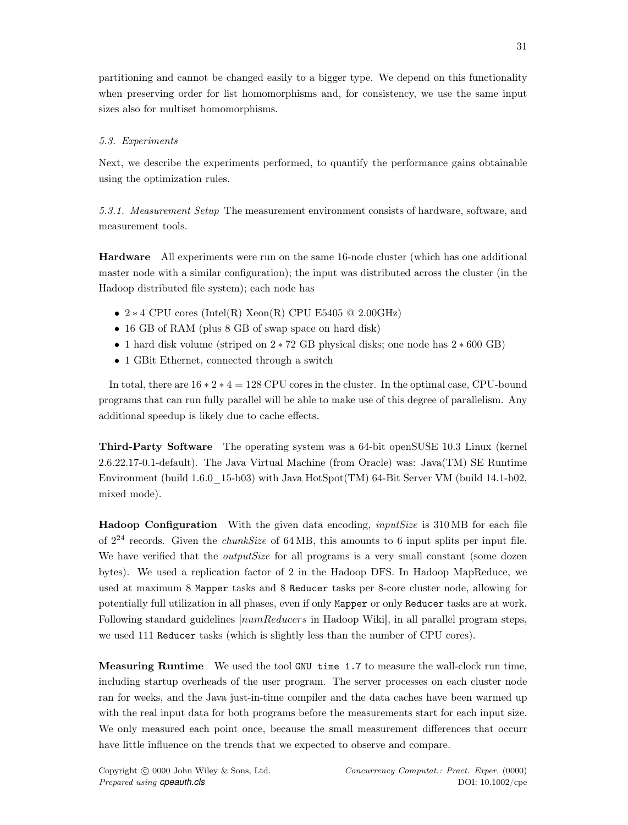partitioning and cannot be changed easily to a bigger type. We depend on this functionality when preserving order for list homomorphisms and, for consistency, we use the same input sizes also for multiset homomorphisms.

### 5.3. Experiments

Next, we describe the experiments performed, to quantify the performance gains obtainable using the optimization rules.

<span id="page-30-0"></span>5.3.1. Measurement Setup The measurement environment consists of hardware, software, and measurement tools.

Hardware All experiments were run on the same 16-node cluster (which has one additional master node with a similar configuration); the input was distributed across the cluster (in the Hadoop distributed file system); each node has

- $2 * 4$  CPU cores (Intel(R) Xeon(R) CPU E5405 @ 2.00GHz)
- 16 GB of RAM (plus 8 GB of swap space on hard disk)
- 1 hard disk volume (striped on 2 ∗ 72 GB physical disks; one node has 2 ∗ 600 GB)
- 1 GBit Ethernet, connected through a switch

In total, there are 16 ∗ 2 ∗ 4 = 128 CPU cores in the cluster. In the optimal case, CPU-bound programs that can run fully parallel will be able to make use of this degree of parallelism. Any additional speedup is likely due to cache effects.

Third-Party Software The operating system was a 64-bit openSUSE 10.3 Linux (kernel 2.6.22.17-0.1-default). The Java Virtual Machine (from Oracle) was: Java(TM) SE Runtime Environment (build 1.6.0\_15-b03) with Java HotSpot(TM) 64-Bit Server VM (build 14.1-b02, mixed mode).

**Hadoop Configuration** With the given data encoding, *inputSize* is 310 MB for each file of  $2^{24}$  records. Given the *chunkSize* of 64 MB, this amounts to 6 input splits per input file. We have verified that the *outputSize* for all programs is a very small constant (some dozen bytes). We used a replication factor of 2 in the Hadoop DFS. In Hadoop MapReduce, we used at maximum 8 Mapper tasks and 8 Reducer tasks per 8-core cluster node, allowing for potentially full utilization in all phases, even if only Mapper or only Reducer tasks are at work. Following standard guidelines  $[numReducers]$  in Hadoop Wikil, in all parallel program steps, we used 111 Reducer tasks (which is slightly less than the number of CPU cores).

Measuring Runtime We used the tool GNU time 1.7 to measure the wall-clock run time, including startup overheads of the user program. The server processes on each cluster node ran for weeks, and the Java just-in-time compiler and the data caches have been warmed up with the real input data for both programs before the measurements start for each input size. We only measured each point once, because the small measurement differences that occurr have little influence on the trends that we expected to observe and compare.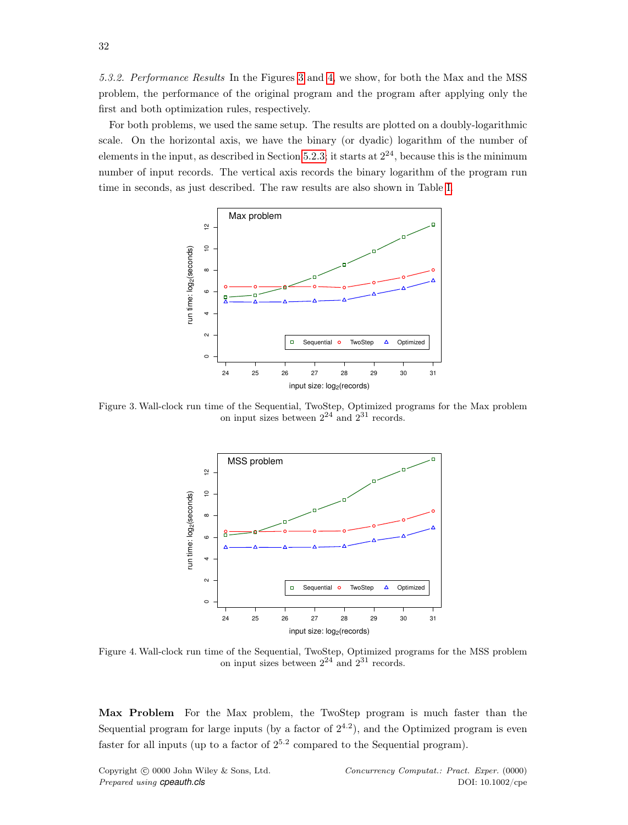5.3.2. Performance Results In the Figures [3](#page-31-0) and [4,](#page-31-1) we show, for both the Max and the MSS problem, the performance of the original program and the program after applying only the first and both optimization rules, respectively.

For both problems, we used the same setup. The results are plotted on a doubly-logarithmic scale. On the horizontal axis, we have the binary (or dyadic) logarithm of the number of elements in the input, as described in Section [5.2.3;](#page-29-0) it starts at  $2^{24}$ , because this is the minimum number of input records. The vertical axis records the binary logarithm of the program run time in seconds, as just described. The raw results are also shown in Table [I.](#page-32-0)

<span id="page-31-0"></span>

<span id="page-31-1"></span>Figure 3. Wall-clock run time of the Sequential, TwoStep, Optimized programs for the Max problem on input sizes between  $2^{24}$  and  $2^{31}$  records.



Figure 4. Wall-clock run time of the Sequential, TwoStep, Optimized programs for the MSS problem on input sizes between  $2^{24}$  and  $2^{31}$  records.

Max Problem For the Max problem, the TwoStep program is much faster than the Sequential program for large inputs (by a factor of  $2^{4.2}$ ), and the Optimized program is even faster for all inputs (up to a factor of  $2^{5.2}$  compared to the Sequential program).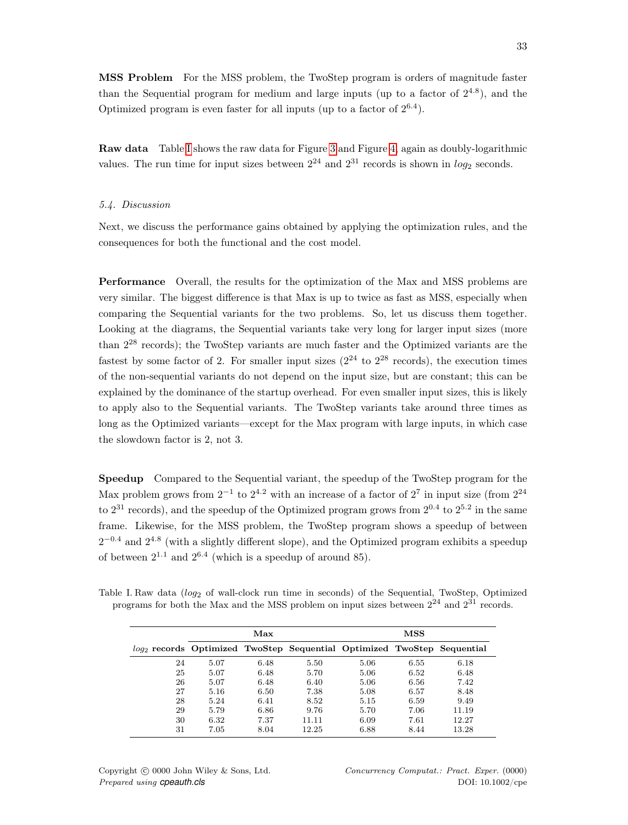MSS Problem For the MSS problem, the TwoStep program is orders of magnitude faster than the Sequential program for medium and large inputs (up to a factor of  $2^{4.8}$ ), and the Optimized program is even faster for all inputs (up to a factor of  $2^{6.4}$ ).

Raw data Table [I](#page-32-0) shows the raw data for Figure [3](#page-31-0) and Figure [4,](#page-31-1) again as doubly-logarithmic values. The run time for input sizes between  $2^{24}$  and  $2^{31}$  records is shown in  $log_2$  seconds.

# 5.4. Discussion

Next, we discuss the performance gains obtained by applying the optimization rules, and the consequences for both the functional and the cost model.

Performance Overall, the results for the optimization of the Max and MSS problems are very similar. The biggest difference is that Max is up to twice as fast as MSS, especially when comparing the Sequential variants for the two problems. So, let us discuss them together. Looking at the diagrams, the Sequential variants take very long for larger input sizes (more than 2 <sup>28</sup> records); the TwoStep variants are much faster and the Optimized variants are the fastest by some factor of 2. For smaller input sizes  $(2^{24} \text{ to } 2^{28} \text{ records})$ , the execution times of the non-sequential variants do not depend on the input size, but are constant; this can be explained by the dominance of the startup overhead. For even smaller input sizes, this is likely to apply also to the Sequential variants. The TwoStep variants take around three times as long as the Optimized variants—except for the Max program with large inputs, in which case the slowdown factor is 2, not 3.

Speedup Compared to the Sequential variant, the speedup of the TwoStep program for the Max problem grows from  $2^{-1}$  to  $2^{4.2}$  with an increase of a factor of  $2^7$  in input size (from  $2^{24}$ to  $2^{31}$  records), and the speedup of the Optimized program grows from  $2^{0.4}$  to  $2^{5.2}$  in the same frame. Likewise, for the MSS problem, the TwoStep program shows a speedup of between  $2^{-0.4}$  and  $2^{4.8}$  (with a slightly different slope), and the Optimized program exhibits a speedup of between  $2^{1.1}$  and  $2^{6.4}$  (which is a speedup of around 85).

<span id="page-32-0"></span>Table I. Raw data (log<sub>2</sub> of wall-clock run time in seconds) of the Sequential, TwoStep, Optimized programs for both the Max and the MSS problem on input sizes between  $2^{24}$  and  $2^{31}$  records.

|                                                                           | Max  |      | <b>MSS</b> |      |      |       |
|---------------------------------------------------------------------------|------|------|------------|------|------|-------|
| $log_2$ records Optimized TwoStep Sequential Optimized TwoStep Sequential |      |      |            |      |      |       |
| 24                                                                        | 5.07 | 6.48 | 5.50       | 5.06 | 6.55 | 6.18  |
| 25                                                                        | 5.07 | 6.48 | 5.70       | 5.06 | 6.52 | 6.48  |
| 26                                                                        | 5.07 | 6.48 | 6.40       | 5.06 | 6.56 | 7.42  |
| 27                                                                        | 5.16 | 6.50 | 7.38       | 5.08 | 6.57 | 8.48  |
| 28                                                                        | 5.24 | 6.41 | 8.52       | 5.15 | 6.59 | 9.49  |
| 29                                                                        | 5.79 | 6.86 | 9.76       | 5.70 | 7.06 | 11.19 |
| 30                                                                        | 6.32 | 7.37 | 11.11      | 6.09 | 7.61 | 12.27 |
| 31                                                                        | 7.05 | 8.04 | 12.25      | 6.88 | 8.44 | 13.28 |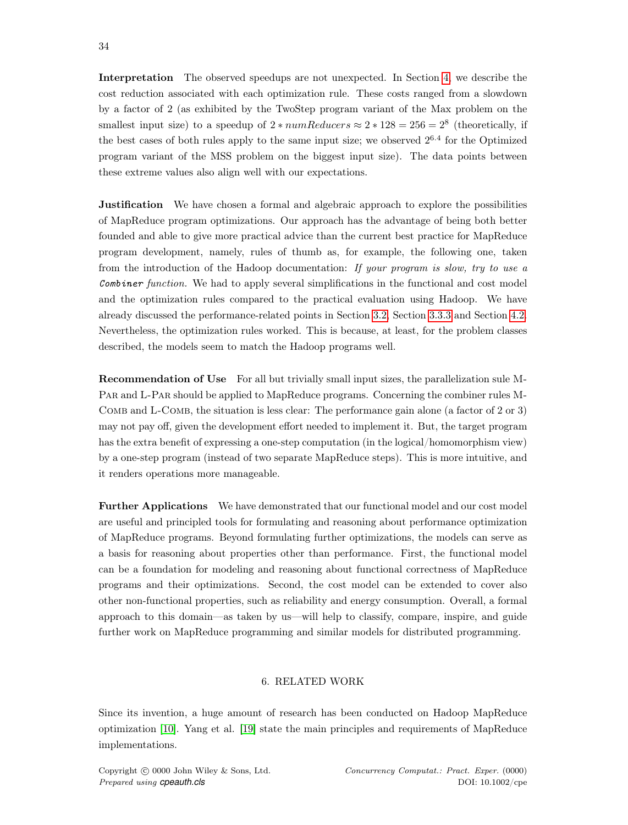<span id="page-33-0"></span>Interpretation The observed speedups are not unexpected. In Section [4,](#page-16-0) we describe the cost reduction associated with each optimization rule. These costs ranged from a slowdown by a factor of 2 (as exhibited by the TwoStep program variant of the Max problem on the smallest input size) to a speedup of  $2 * numReducers \approx 2 * 128 = 256 = 2^8$  (theoretically, if the best cases of both rules apply to the same input size; we observed  $2^{6.4}$  for the Optimized program variant of the MSS problem on the biggest input size). The data points between these extreme values also align well with our expectations.

**Justification** We have chosen a formal and algebraic approach to explore the possibilities of MapReduce program optimizations. Our approach has the advantage of being both better founded and able to give more practical advice than the current best practice for MapReduce program development, namely, rules of thumb as, for example, the following one, taken from the introduction of the Hadoop documentation: If your program is slow, try to use a Combiner function. We had to apply several simplifications in the functional and cost model and the optimization rules compared to the practical evaluation using Hadoop. We have already discussed the performance-related points in Section [3.2,](#page-11-0) Section [3.3.3](#page-16-1) and Section [4.2.](#page-18-1) Nevertheless, the optimization rules worked. This is because, at least, for the problem classes described, the models seem to match the Hadoop programs well.

Recommendation of Use For all but trivially small input sizes, the parallelization sule M-Par and L-Par should be applied to MapReduce programs. Concerning the combiner rules M-Comb and L-Comb, the situation is less clear: The performance gain alone (a factor of 2 or 3) may not pay off, given the development effort needed to implement it. But, the target program has the extra benefit of expressing a one-step computation (in the logical/homomorphism view) by a one-step program (instead of two separate MapReduce steps). This is more intuitive, and it renders operations more manageable.

Further Applications We have demonstrated that our functional model and our cost model are useful and principled tools for formulating and reasoning about performance optimization of MapReduce programs. Beyond formulating further optimizations, the models can serve as a basis for reasoning about properties other than performance. First, the functional model can be a foundation for modeling and reasoning about functional correctness of MapReduce programs and their optimizations. Second, the cost model can be extended to cover also other non-functional properties, such as reliability and energy consumption. Overall, a formal approach to this domain—as taken by us—will help to classify, compare, inspire, and guide further work on MapReduce programming and similar models for distributed programming.

### 6. RELATED WORK

Since its invention, a huge amount of research has been conducted on Hadoop MapReduce optimization [\[10\]](#page-35-9). Yang et al. [\[19\]](#page-36-6) state the main principles and requirements of MapReduce implementations.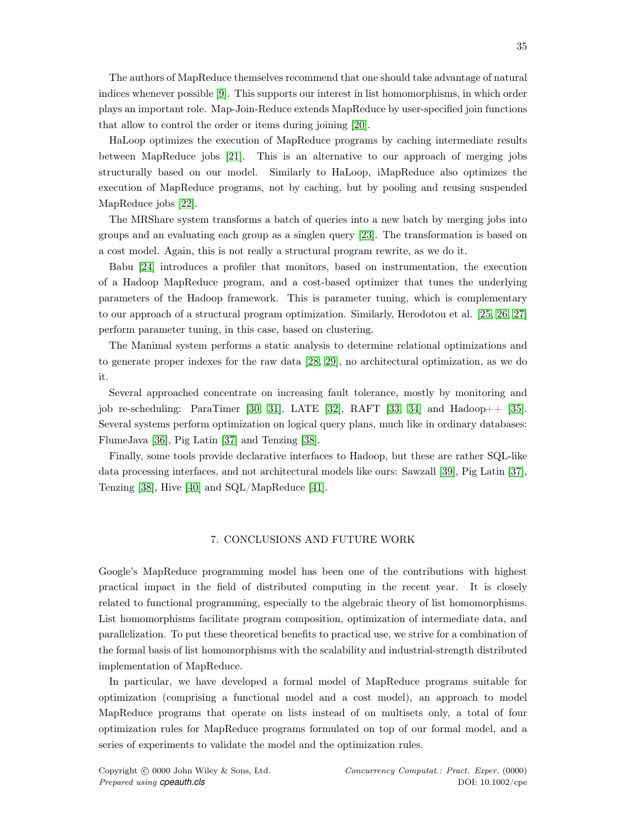<span id="page-34-1"></span>The authors of MapReduce themselves recommend that one should take advantage of natural indices whenever possible [\[9\]](#page-35-8). This supports our interest in list homomorphisms, in which order plays an important role. Map-Join-Reduce extends MapReduce by user-specified join functions that allow to control the order or items during joining [\[20\]](#page-36-7).

HaLoop optimizes the execution of MapReduce programs by caching intermediate results between MapReduce jobs [\[21\]](#page-36-8). This is an alternative to our approach of merging jobs structurally based on our model. Similarly to HaLoop, iMapReduce also optimizes the execution of MapReduce programs, not by caching, but by pooling and reusing suspended MapReduce jobs [\[22\]](#page-36-9).

The MRShare system transforms a batch of queries into a new batch by merging jobs into groups and an evaluating each group as a singlen query [\[23\]](#page-36-10). The transformation is based on a cost model. Again, this is not really a structural program rewrite, as we do it.

Babu [\[24\]](#page-36-11) introduces a profiler that monitors, based on instrumentation, the execution of a Hadoop MapReduce program, and a cost-based optimizer that tunes the underlying parameters of the Hadoop framework. This is parameter tuning, which is complementary to our approach of a structural program optimization. Similarly, Herodotou et al. [\[25,](#page-36-12) [26,](#page-36-13) [27\]](#page-36-14) perform parameter tuning, in this case, based on clustering.

The Manimal system performs a static analysis to determine relational optimizations and to generate proper indexes for the raw data [\[28,](#page-36-15) [29\]](#page-36-16), no architectural optimization, as we do it.

Several approached concentrate on increasing fault tolerance, mostly by monitoring and job re-scheduling: ParaTimer [\[30,](#page-36-17) [31\]](#page-36-18), LATE [\[32\]](#page-36-19), RAFT [\[33,](#page-36-20) [34\]](#page-36-21) and Hadoop $++$  [\[35\]](#page-36-22). Several systems perform optimization on logical query plans, much like in ordinary databases: FlumeJava [\[36\]](#page-36-23), Pig Latin [\[37\]](#page-36-24) and Tenzing [\[38\]](#page-36-25).

Finally, some tools provide declarative interfaces to Hadoop, but these are rather SQL-like data processing interfaces, and not architectural models like ours: Sawzall [\[39\]](#page-37-0), Pig Latin [\[37\]](#page-36-24), Tenzing [\[38\]](#page-36-25), Hive [\[40\]](#page-37-1) and SQL/MapReduce [\[41\]](#page-37-2).

## 7. CONCLUSIONS AND FUTURE WORK

<span id="page-34-0"></span>Google's MapReduce programming model has been one of the contributions with highest practical impact in the field of distributed computing in the recent year. It is closely related to functional programming, especially to the algebraic theory of list homomorphisms. List homomorphisms facilitate program composition, optimization of intermediate data, and parallelization. To put these theoretical benefits to practical use, we strive for a combination of the formal basis of list homomorphisms with the scalability and industrial-strength distributed implementation of MapReduce.

In particular, we have developed a formal model of MapReduce programs suitable for optimization (comprising a functional model and a cost model), an approach to model MapReduce programs that operate on lists instead of on multisets only, a total of four optimization rules for MapReduce programs formulated on top of our formal model, and a series of experiments to validate the model and the optimization rules.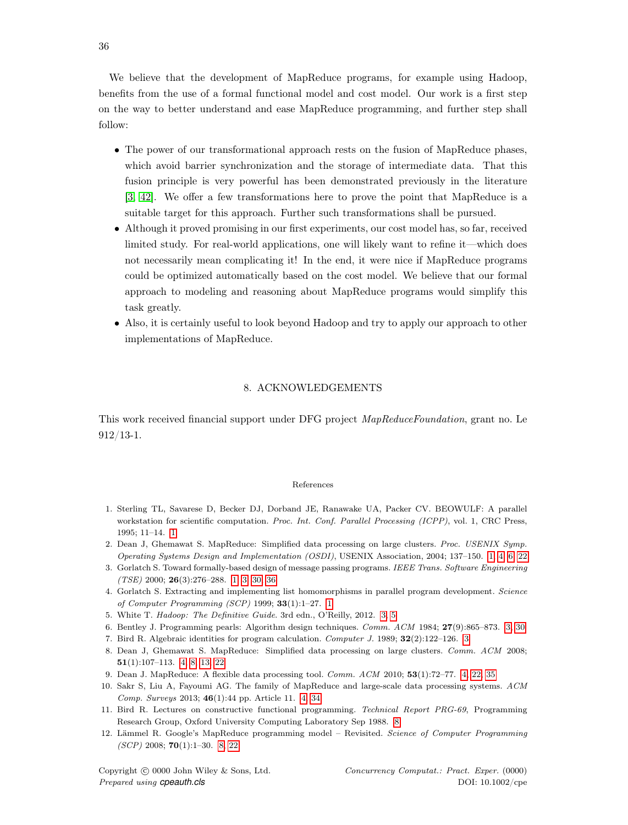<span id="page-35-12"></span>We believe that the development of MapReduce programs, for example using Hadoop, benefits from the use of a formal functional model and cost model. Our work is a first step on the way to better understand and ease MapReduce programming, and further step shall follow:

- The power of our transformational approach rests on the fusion of MapReduce phases, which avoid barrier synchronization and the storage of intermediate data. That this fusion principle is very powerful has been demonstrated previously in the literature [\[3,](#page-35-2) [42\]](#page-37-3). We offer a few transformations here to prove the point that MapReduce is a suitable target for this approach. Further such transformations shall be pursued.
- Although it proved promising in our first experiments, our cost model has, so far, received limited study. For real-world applications, one will likely want to refine it—which does not necessarily mean complicating it! In the end, it were nice if MapReduce programs could be optimized automatically based on the cost model. We believe that our formal approach to modeling and reasoning about MapReduce programs would simplify this task greatly.
- Also, it is certainly useful to look beyond Hadoop and try to apply our approach to other implementations of MapReduce.

#### 8. ACKNOWLEDGEMENTS

This work received financial support under DFG project MapReduceFoundation, grant no. Le 912/13-1.

#### References

- <span id="page-35-0"></span>1. Sterling TL, Savarese D, Becker DJ, Dorband JE, Ranawake UA, Packer CV. BEOWULF: A parallel workstation for scientific computation. Proc. Int. Conf. Parallel Processing (ICPP), vol. 1, CRC Press, 1995; 11–14. [1](#page-0-1)
- <span id="page-35-1"></span>2. Dean J, Ghemawat S. MapReduce: Simplified data processing on large clusters. Proc. USENIX Symp. Operating Systems Design and Implementation (OSDI), USENIX Association, 2004; 137–150. [1,](#page-0-1) [4,](#page-3-1) [6,](#page-5-0) [22](#page-21-1)
- <span id="page-35-2"></span>3. Gorlatch S. Toward formally-based design of message passing programs. IEEE Trans. Software Engineering  $(TSE)$  2000; **26**(3):276–288. [1,](#page-0-1) [3,](#page-2-0) [30,](#page-29-1) [36](#page-35-12)
- <span id="page-35-3"></span>4. Gorlatch S. Extracting and implementing list homomorphisms in parallel program development. Science of Computer Programming (SCP) 1999; 33(1):1–27. [1](#page-0-1)
- <span id="page-35-4"></span>5. White T. Hadoop: The Definitive Guide. 3rd edn., O'Reilly, 2012. [3,](#page-2-0) [5](#page-4-1)
- <span id="page-35-5"></span>6. Bentley J. Programming pearls: Algorithm design techniques. Comm. ACM 1984; 27(9):865–873. [3,](#page-2-0) [30](#page-29-1)
- <span id="page-35-6"></span>7. Bird R. Algebraic identities for program calculation. Computer J. 1989; 32(2):122–126. [3](#page-2-0)
- <span id="page-35-7"></span>8. Dean J, Ghemawat S. MapReduce: Simplified data processing on large clusters. Comm. ACM 2008; 51(1):107–113. [4,](#page-3-1) [8,](#page-7-1) [13,](#page-12-0) [22](#page-21-1)
- <span id="page-35-8"></span>9. Dean J. MapReduce: A flexible data processing tool. Comm. ACM 2010; 53(1):72–77. [4,](#page-3-1) [22,](#page-21-1) [35](#page-34-1)
- <span id="page-35-9"></span>10. Sakr S, Liu A, Fayoumi AG. The family of MapReduce and large-scale data processing systems. ACM Comp. Surveys 2013; 46(1):44 pp. Article 11. [4,](#page-3-1) [34](#page-33-0)
- <span id="page-35-10"></span>11. Bird R. Lectures on constructive functional programming. Technical Report PRG-69, Programming Research Group, Oxford University Computing Laboratory Sep 1988. [8](#page-7-1)
- <span id="page-35-11"></span>12. Lämmel R. Google's MapReduce programming model – Revisited. Science of Computer Programming  $(SCP)$  2008; **70**(1):1–30. [8,](#page-7-1) [22](#page-21-1)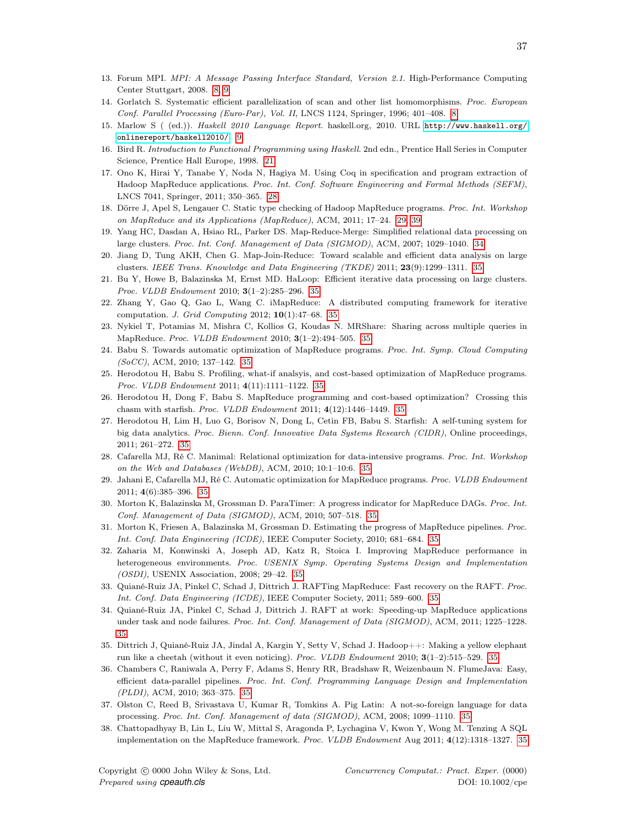- <span id="page-36-1"></span><span id="page-36-0"></span>14. Gorlatch S. Systematic efficient parallelization of scan and other list homomorphisms. Proc. European Conf. Parallel Processing (Euro-Par), Vol. II, LNCS 1124, Springer, 1996; 401–408. [8](#page-7-1)
- <span id="page-36-2"></span>15. Marlow S ( (ed.)). Haskell 2010 Language Report. haskell.org, 2010. URL [http://www.haskell.org/](http://www.haskell.org/onlinereport/haskell2010/) [onlinereport/haskell2010/](http://www.haskell.org/onlinereport/haskell2010/). [9](#page-8-2)
- <span id="page-36-3"></span>16. Bird R. Introduction to Functional Programming using Haskell. 2nd edn., Prentice Hall Series in Computer Science, Prentice Hall Europe, 1998. [21](#page-20-0)
- <span id="page-36-4"></span>17. Ono K, Hirai Y, Tanabe Y, Noda N, Hagiya M. Using Coq in specification and program extraction of Hadoop MapReduce applications. Proc. Int. Conf. Software Engineering and Formal Methods (SEFM), LNCS 7041, Springer, 2011; 350–365. [28](#page-27-1)
- <span id="page-36-5"></span>18. Dörre J, Apel S, Lengauer C. Static type checking of Hadoop MapReduce programs. Proc. Int. Workshop on MapReduce and its Applications (MapReduce), ACM, 2011; 17–24. [29,](#page-28-1) [39](#page-38-1)
- <span id="page-36-6"></span>19. Yang HC, Dasdan A, Hsiao RL, Parker DS. Map-Reduce-Merge: Simplified relational data processing on large clusters. Proc. Int. Conf. Management of Data (SIGMOD), ACM, 2007; 1029–1040. [34](#page-33-0)
- <span id="page-36-7"></span>20. Jiang D, Tung AKH, Chen G. Map-Join-Reduce: Toward scalable and efficient data analysis on large clusters. IEEE Trans. Knowledge and Data Engineering (TKDE) 2011; 23(9):1299–1311. [35](#page-34-1)
- <span id="page-36-8"></span>21. Bu Y, Howe B, Balazinska M, Ernst MD. HaLoop: Efficient iterative data processing on large clusters. Proc. VLDB Endowment 2010; 3(1–2):285–296. [35](#page-34-1)
- <span id="page-36-9"></span>22. Zhang Y, Gao Q, Gao L, Wang C. iMapReduce: A distributed computing framework for iterative computation. J. Grid Computing 2012; 10(1):47–68. [35](#page-34-1)
- <span id="page-36-10"></span>23. Nykiel T, Potamias M, Mishra C, Kollios G, Koudas N. MRShare: Sharing across multiple queries in MapReduce. Proc. VLDB Endowment 2010; 3(1–2):494–505. [35](#page-34-1)
- <span id="page-36-11"></span>24. Babu S. Towards automatic optimization of MapReduce programs. Proc. Int. Symp. Cloud Computing (SoCC), ACM, 2010; 137–142. [35](#page-34-1)
- <span id="page-36-12"></span>25. Herodotou H, Babu S. Profiling, what-if analsyis, and cost-based optimization of MapReduce programs. Proc. VLDB Endowment 2011; 4(11):1111–1122. [35](#page-34-1)
- <span id="page-36-13"></span>26. Herodotou H, Dong F, Babu S. MapReduce programming and cost-based optimization? Crossing this chasm with starfish. Proc. VLDB Endowment 2011; 4(12):1446–1449. [35](#page-34-1)
- <span id="page-36-14"></span>27. Herodotou H, Lim H, Luo G, Borisov N, Dong L, Cetin FB, Babu S. Starfish: A self-tuning system for big data analytics. Proc. Bienn. Conf. Innovative Data Systems Research (CIDR), Online proceedings, 2011; 261–272. [35](#page-34-1)
- <span id="page-36-15"></span>28. Cafarella MJ, Ré C. Manimal: Relational optimization for data-intensive programs. Proc. Int. Workshop on the Web and Databases (WebDB), ACM, 2010; 10:1–10:6. [35](#page-34-1)
- <span id="page-36-16"></span>29. Jahani E, Cafarella MJ, Ré C. Automatic optimization for MapReduce programs. Proc. VLDB Endowment 2011; 4(6):385–396. [35](#page-34-1)
- <span id="page-36-17"></span>30. Morton K, Balazinska M, Grossman D. ParaTimer: A progress indicator for MapReduce DAGs. Proc. Int. Conf. Management of Data (SIGMOD), ACM, 2010; 507–518. [35](#page-34-1)
- <span id="page-36-18"></span>31. Morton K, Friesen A, Balazinska M, Grossman D. Estimating the progress of MapReduce pipelines. Proc. Int. Conf. Data Engineering (ICDE), IEEE Computer Society, 2010; 681–684. [35](#page-34-1)
- <span id="page-36-19"></span>32. Zaharia M, Konwinski A, Joseph AD, Katz R, Stoica I. Improving MapReduce performance in heterogeneous environments. Proc. USENIX Symp. Operating Systems Design and Implementation (OSDI), USENIX Association, 2008; 29–42. [35](#page-34-1)
- <span id="page-36-20"></span>33. Quiané-Ruiz JA, Pinkel C, Schad J, Dittrich J. RAFTing MapReduce: Fast recovery on the RAFT. Proc. Int. Conf. Data Engineering (ICDE), IEEE Computer Society, 2011; 589–600. [35](#page-34-1)
- <span id="page-36-21"></span>34. Quiané-Ruiz JA, Pinkel C, Schad J, Dittrich J. RAFT at work: Speeding-up MapReduce applications under task and node failures. Proc. Int. Conf. Management of Data (SIGMOD), ACM, 2011; 1225–1228. [35](#page-34-1)
- <span id="page-36-22"></span>35. Dittrich J, Quiané-Ruiz JA, Jindal A, Kargin Y, Setty V, Schad J. Hadoop++: Making a yellow elephant run like a cheetah (without it even noticing). Proc. VLDB Endowment 2010;  $3(1-2)$ :515–529. [35](#page-34-1)
- <span id="page-36-23"></span>36. Chambers C, Raniwala A, Perry F, Adams S, Henry RR, Bradshaw R, Weizenbaum N. FlumeJava: Easy, efficient data-parallel pipelines. Proc. Int. Conf. Programming Language Design and Implementation (PLDI), ACM, 2010; 363–375. [35](#page-34-1)
- <span id="page-36-24"></span>37. Olston C, Reed B, Srivastava U, Kumar R, Tomkins A. Pig Latin: A not-so-foreign language for data processing. Proc. Int. Conf. Management of data (SIGMOD), ACM, 2008; 1099–1110. [35](#page-34-1)
- <span id="page-36-25"></span>38. Chattopadhyay B, Lin L, Liu W, Mittal S, Aragonda P, Lychagina V, Kwon Y, Wong M. Tenzing A SQL implementation on the MapReduce framework. Proc. VLDB Endowment Aug 2011; 4(12):1318–1327. [35](#page-34-1)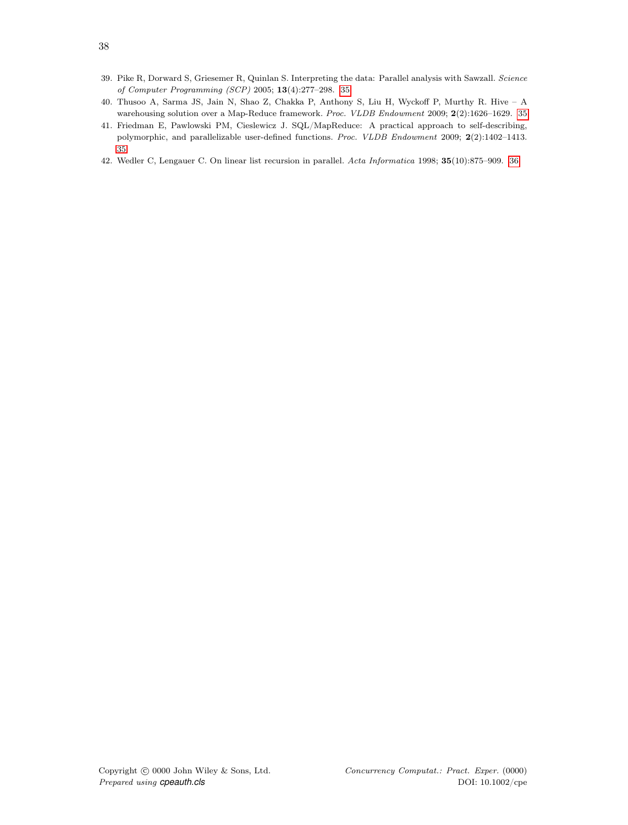- <span id="page-37-0"></span>39. Pike R, Dorward S, Griesemer R, Quinlan S. Interpreting the data: Parallel analysis with Sawzall. Science of Computer Programming (SCP) 2005; 13(4):277–298. [35](#page-34-1)
- <span id="page-37-1"></span>40. Thusoo A, Sarma JS, Jain N, Shao Z, Chakka P, Anthony S, Liu H, Wyckoff P, Murthy R. Hive – A warehousing solution over a Map-Reduce framework. Proc. VLDB Endowment 2009; 2(2):1626–1629. [35](#page-34-1)
- <span id="page-37-2"></span>41. Friedman E, Pawlowski PM, Cieslewicz J. SQL/MapReduce: A practical approach to self-describing, polymorphic, and parallelizable user-defined functions. Proc. VLDB Endowment 2009; 2(2):1402–1413. [35](#page-34-1)
- <span id="page-37-3"></span>42. Wedler C, Lengauer C. On linear list recursion in parallel. Acta Informatica 1998; 35(10):875–909. [36](#page-35-12)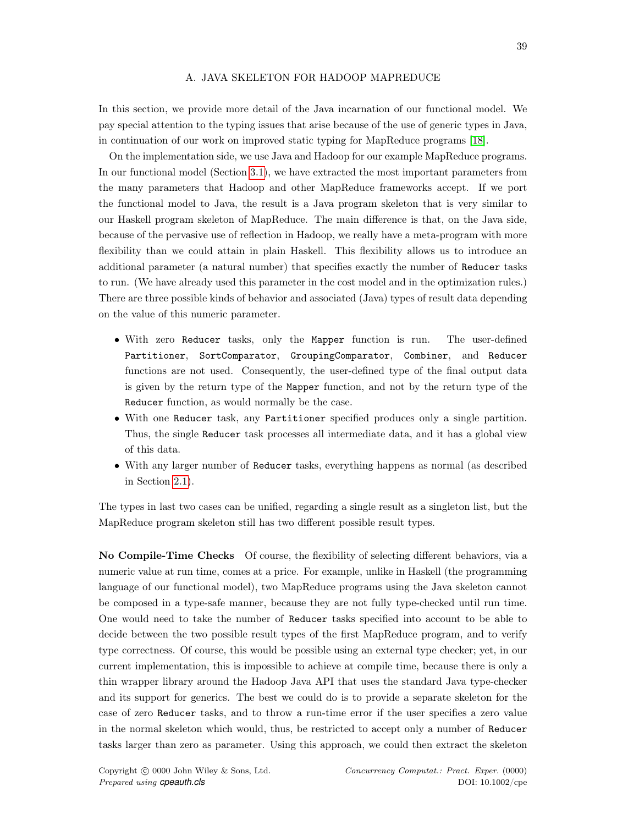### A. JAVA SKELETON FOR HADOOP MAPREDUCE

<span id="page-38-1"></span><span id="page-38-0"></span>In this section, we provide more detail of the Java incarnation of our functional model. We pay special attention to the typing issues that arise because of the use of generic types in Java, in continuation of our work on improved static typing for MapReduce programs [\[18\]](#page-36-5).

On the implementation side, we use Java and Hadoop for our example MapReduce programs. In our functional model (Section [3.1\)](#page-8-1), we have extracted the most important parameters from the many parameters that Hadoop and other MapReduce frameworks accept. If we port the functional model to Java, the result is a Java program skeleton that is very similar to our Haskell program skeleton of MapReduce. The main difference is that, on the Java side, because of the pervasive use of reflection in Hadoop, we really have a meta-program with more flexibility than we could attain in plain Haskell. This flexibility allows us to introduce an additional parameter (a natural number) that specifies exactly the number of Reducer tasks to run. (We have already used this parameter in the cost model and in the optimization rules.) There are three possible kinds of behavior and associated (Java) types of result data depending on the value of this numeric parameter.

- With zero Reducer tasks, only the Mapper function is run. The user-defined Partitioner, SortComparator, GroupingComparator, Combiner, and Reducer functions are not used. Consequently, the user-defined type of the final output data is given by the return type of the Mapper function, and not by the return type of the Reducer function, as would normally be the case.
- With one Reducer task, any Partitioner specified produces only a single partition. Thus, the single Reducer task processes all intermediate data, and it has a global view of this data.
- With any larger number of Reducer tasks, everything happens as normal (as described in Section [2.1\)](#page-3-2).

The types in last two cases can be unified, regarding a single result as a singleton list, but the MapReduce program skeleton still has two different possible result types.

No Compile-Time Checks Of course, the flexibility of selecting different behaviors, via a numeric value at run time, comes at a price. For example, unlike in Haskell (the programming language of our functional model), two MapReduce programs using the Java skeleton cannot be composed in a type-safe manner, because they are not fully type-checked until run time. One would need to take the number of Reducer tasks specified into account to be able to decide between the two possible result types of the first MapReduce program, and to verify type correctness. Of course, this would be possible using an external type checker; yet, in our current implementation, this is impossible to achieve at compile time, because there is only a thin wrapper library around the Hadoop Java API that uses the standard Java type-checker and its support for generics. The best we could do is to provide a separate skeleton for the case of zero Reducer tasks, and to throw a run-time error if the user specifies a zero value in the normal skeleton which would, thus, be restricted to accept only a number of Reducer tasks larger than zero as parameter. Using this approach, we could then extract the skeleton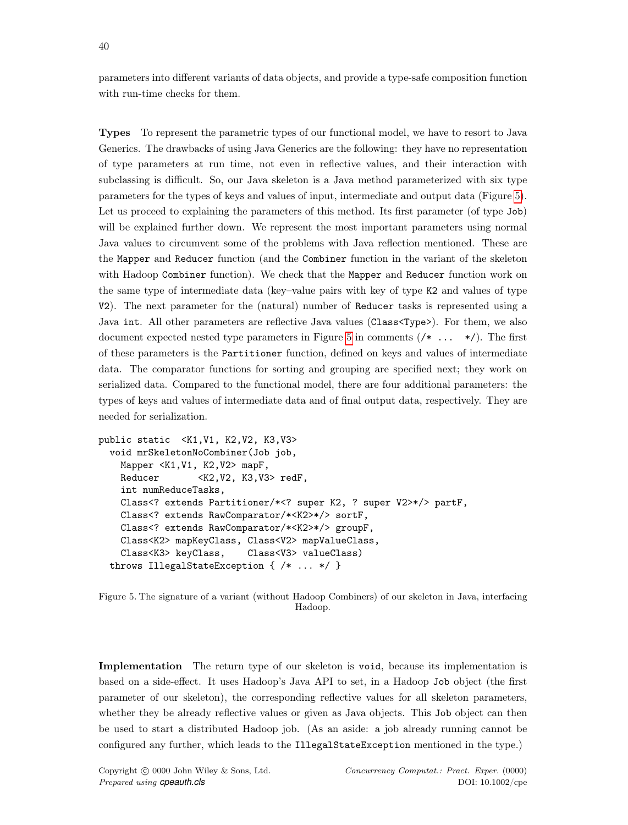parameters into different variants of data objects, and provide a type-safe composition function with run-time checks for them.

Types To represent the parametric types of our functional model, we have to resort to Java Generics. The drawbacks of using Java Generics are the following: they have no representation of type parameters at run time, not even in reflective values, and their interaction with subclassing is difficult. So, our Java skeleton is a Java method parameterized with six type parameters for the types of keys and values of input, intermediate and output data (Figure [5\)](#page-39-0). Let us proceed to explaining the parameters of this method. Its first parameter (of type Job) will be explained further down. We represent the most important parameters using normal Java values to circumvent some of the problems with Java reflection mentioned. These are the Mapper and Reducer function (and the Combiner function in the variant of the skeleton with Hadoop Combiner function). We check that the Mapper and Reducer function work on the same type of intermediate data (key–value pairs with key of type K2 and values of type V2). The next parameter for the (natural) number of Reducer tasks is represented using a Java int. All other parameters are reflective Java values (Class<Type>). For them, we also document expected nested type parameters in Figure [5](#page-39-0) in comments  $(\frac{*}{\cdot \cdot \cdot \cdot *})$ . The first of these parameters is the Partitioner function, defined on keys and values of intermediate data. The comparator functions for sorting and grouping are specified next; they work on serialized data. Compared to the functional model, there are four additional parameters: the types of keys and values of intermediate data and of final output data, respectively. They are needed for serialization.

```
public static <K1,V1, K2,V2, K3,V3>
 void mrSkeletonNoCombiner(Job job,
   Mapper <K1,V1, K2,V2> mapF,
   Reducer <K2, V2, K3, V3> redF,
    int numReduceTasks,
   Class<? extends Partitioner/*<? super K2, ? super V2>*/> partF,
   Class<? extends RawComparator/*<K2>*/> sortF,
   Class<? extends RawComparator/*<K2>*/> groupF,
   Class<K2> mapKeyClass, Class<V2> mapValueClass,
   Class<K3> keyClass, Class<V3> valueClass)
  throws IllegalStateException { /* ... */ }
```
Figure 5. The signature of a variant (without Hadoop Combiners) of our skeleton in Java, interfacing Hadoop.

Implementation The return type of our skeleton is void, because its implementation is based on a side-effect. It uses Hadoop's Java API to set, in a Hadoop Job object (the first parameter of our skeleton), the corresponding reflective values for all skeleton parameters, whether they be already reflective values or given as Java objects. This Job object can then be used to start a distributed Hadoop job. (As an aside: a job already running cannot be configured any further, which leads to the IllegalStateException mentioned in the type.)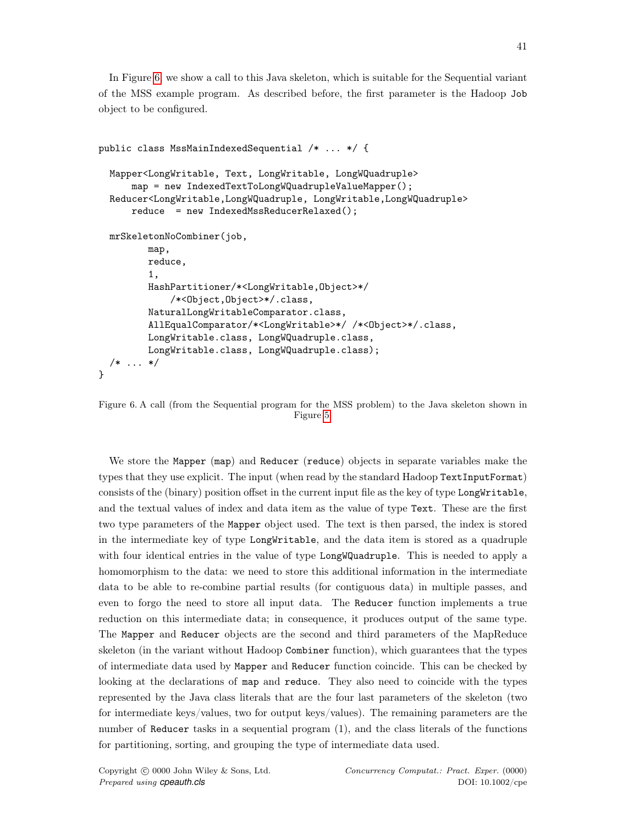In Figure [6,](#page-40-0) we show a call to this Java skeleton, which is suitable for the Sequential variant of the MSS example program. As described before, the first parameter is the Hadoop Job object to be configured.

```
public class MssMainIndexedSequential /* ... */ {
 Mapper<LongWritable, Text, LongWritable, LongWQuadruple>
     map = new IndexedTextToLongWQuadrupleValueMapper();
 Reducer<LongWritable,LongWQuadruple, LongWritable,LongWQuadruple>
     reduce = new IndexedMssReducerRelaxed();
 mrSkeletonNoCombiner(job,
        map,
        reduce,
         1,
         HashPartitioner/*<LongWritable,Object>*/
             /*<Object,Object>*/.class,
         NaturalLongWritableComparator.class,
         AllEqualComparator/*<LongWritable>*/ /*<Object>*/.class,
         LongWritable.class, LongWQuadruple.class,
         LongWritable.class, LongWQuadruple.class);
  /* ... */
}
```
Figure 6. A call (from the Sequential program for the MSS problem) to the Java skeleton shown in Figure [5.](#page-39-0)

We store the Mapper (map) and Reducer (reduce) objects in separate variables make the types that they use explicit. The input (when read by the standard Hadoop TextInputFormat) consists of the (binary) position offset in the current input file as the key of type LongWritable, and the textual values of index and data item as the value of type Text. These are the first two type parameters of the Mapper object used. The text is then parsed, the index is stored in the intermediate key of type LongWritable, and the data item is stored as a quadruple with four identical entries in the value of type LongWQuadruple. This is needed to apply a homomorphism to the data: we need to store this additional information in the intermediate data to be able to re-combine partial results (for contiguous data) in multiple passes, and even to forgo the need to store all input data. The Reducer function implements a true reduction on this intermediate data; in consequence, it produces output of the same type. The Mapper and Reducer objects are the second and third parameters of the MapReduce skeleton (in the variant without Hadoop Combiner function), which guarantees that the types of intermediate data used by Mapper and Reducer function coincide. This can be checked by looking at the declarations of map and reduce. They also need to coincide with the types represented by the Java class literals that are the four last parameters of the skeleton (two for intermediate keys/values, two for output keys/values). The remaining parameters are the number of Reducer tasks in a sequential program (1), and the class literals of the functions for partitioning, sorting, and grouping the type of intermediate data used.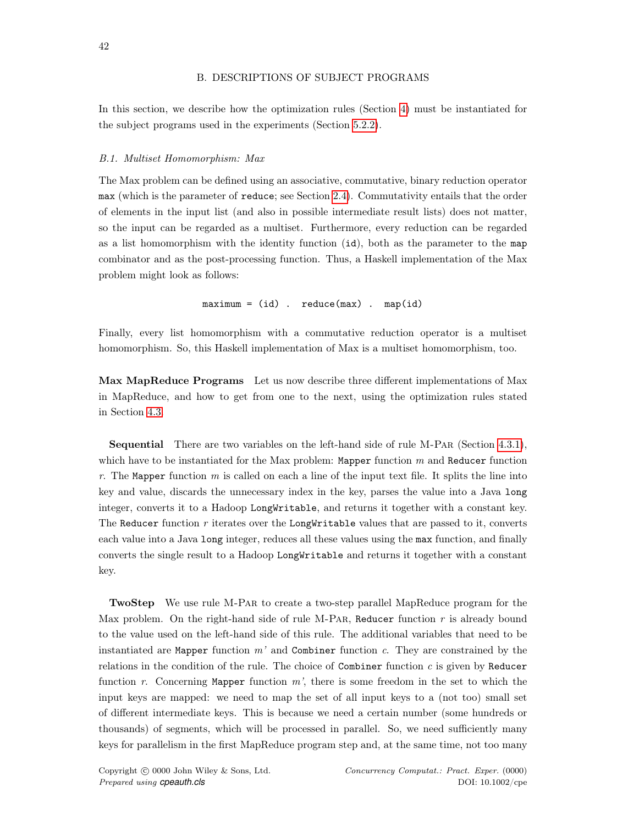<span id="page-41-0"></span>In this section, we describe how the optimization rules (Section [4\)](#page-16-0) must be instantiated for the subject programs used in the experiments (Section [5.2.2\)](#page-28-2).

#### B.1. Multiset Homomorphism: Max

The Max problem can be defined using an associative, commutative, binary reduction operator max (which is the parameter of reduce; see Section [2.4\)](#page-6-0). Commutativity entails that the order of elements in the input list (and also in possible intermediate result lists) does not matter, so the input can be regarded as a multiset. Furthermore, every reduction can be regarded as a list homomorphism with the identity function (id), both as the parameter to the map combinator and as the post-processing function. Thus, a Haskell implementation of the Max problem might look as follows:

 $maximum = (id)$ .  $reduce(max)$ .  $map(id)$ 

Finally, every list homomorphism with a commutative reduction operator is a multiset homomorphism. So, this Haskell implementation of Max is a multiset homomorphism, too.

Max MapReduce Programs Let us now describe three different implementations of Max in MapReduce, and how to get from one to the next, using the optimization rules stated in Section [4.3.](#page-19-0)

Sequential There are two variables on the left-hand side of rule M-Par (Section [4.3.1\)](#page-19-2), which have to be instantiated for the Max problem: Mapper function  $m$  and Reducer function r. The Mapper function  $m$  is called on each a line of the input text file. It splits the line into key and value, discards the unnecessary index in the key, parses the value into a Java long integer, converts it to a Hadoop LongWritable, and returns it together with a constant key. The Reducer function  $r$  iterates over the LongWritable values that are passed to it, converts each value into a Java long integer, reduces all these values using the max function, and finally converts the single result to a Hadoop LongWritable and returns it together with a constant key.

TwoStep We use rule M-Par to create a two-step parallel MapReduce program for the Max problem. On the right-hand side of rule M-PAR, Reducer function  $r$  is already bound to the value used on the left-hand side of this rule. The additional variables that need to be instantiated are Mapper function  $m'$  and Combiner function  $c$ . They are constrained by the relations in the condition of the rule. The choice of Combiner function  $c$  is given by Reducer function  $r$ . Concerning Mapper function  $m'$ , there is some freedom in the set to which the input keys are mapped: we need to map the set of all input keys to a (not too) small set of different intermediate keys. This is because we need a certain number (some hundreds or thousands) of segments, which will be processed in parallel. So, we need sufficiently many keys for parallelism in the first MapReduce program step and, at the same time, not too many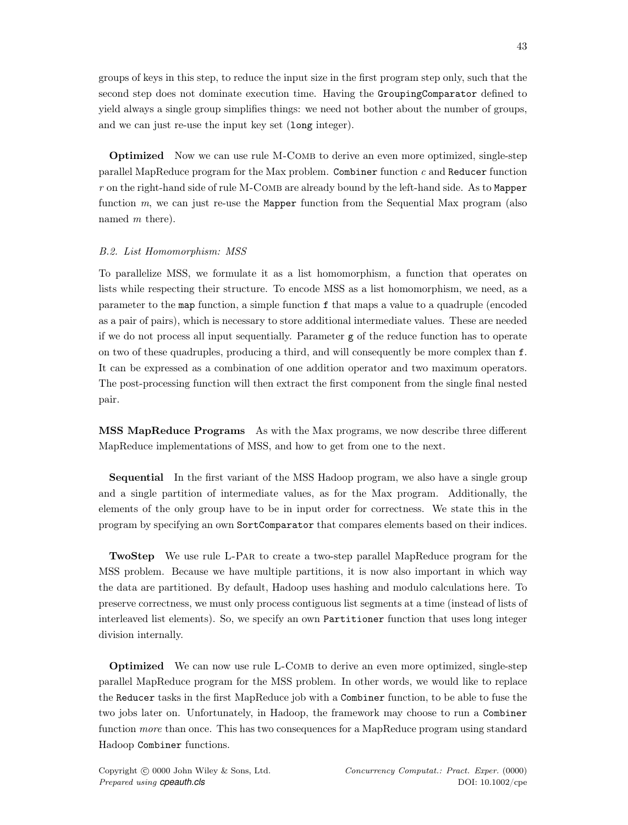groups of keys in this step, to reduce the input size in the first program step only, such that the second step does not dominate execution time. Having the GroupingComparator defined to yield always a single group simplifies things: we need not bother about the number of groups, and we can just re-use the input key set (long integer).

Optimized Now we can use rule M-Comb to derive an even more optimized, single-step parallel MapReduce program for the Max problem. Combiner function  $c$  and Reducer function  $r$  on the right-hand side of rule M-COMB are already bound by the left-hand side. As to Mapper function  $m$ , we can just re-use the Mapper function from the Sequential Max program (also named m there).

### B.2. List Homomorphism: MSS

To parallelize MSS, we formulate it as a list homomorphism, a function that operates on lists while respecting their structure. To encode MSS as a list homomorphism, we need, as a parameter to the map function, a simple function f that maps a value to a quadruple (encoded as a pair of pairs), which is necessary to store additional intermediate values. These are needed if we do not process all input sequentially. Parameter g of the reduce function has to operate on two of these quadruples, producing a third, and will consequently be more complex than f. It can be expressed as a combination of one addition operator and two maximum operators. The post-processing function will then extract the first component from the single final nested pair.

MSS MapReduce Programs As with the Max programs, we now describe three different MapReduce implementations of MSS, and how to get from one to the next.

Sequential In the first variant of the MSS Hadoop program, we also have a single group and a single partition of intermediate values, as for the Max program. Additionally, the elements of the only group have to be in input order for correctness. We state this in the program by specifying an own SortComparator that compares elements based on their indices.

TwoStep We use rule L-Par to create a two-step parallel MapReduce program for the MSS problem. Because we have multiple partitions, it is now also important in which way the data are partitioned. By default, Hadoop uses hashing and modulo calculations here. To preserve correctness, we must only process contiguous list segments at a time (instead of lists of interleaved list elements). So, we specify an own Partitioner function that uses long integer division internally.

<span id="page-42-0"></span>Optimized We can now use rule L-Comb to derive an even more optimized, single-step parallel MapReduce program for the MSS problem. In other words, we would like to replace the Reducer tasks in the first MapReduce job with a Combiner function, to be able to fuse the two jobs later on. Unfortunately, in Hadoop, the framework may choose to run a Combiner function more than once. This has two consequences for a MapReduce program using standard Hadoop Combiner functions.